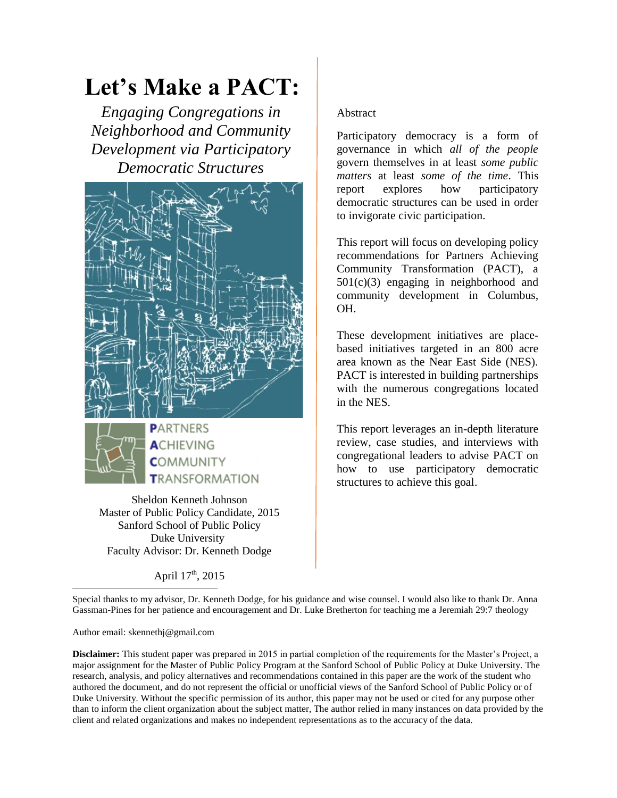# **Let's Make a PACT:**

*Engaging Congregations in Neighborhood and Community Development via Participatory Democratic Structures*



Sheldon Kenneth Johnson Master of Public Policy Candidate, 2015 Sanford School of Public Policy Duke University Faculty Advisor: Dr. Kenneth Dodge

**TRANSFORMATION** 

April  $17^{th}$ , 2015

#### Abstract

Participatory democracy is a form of governance in which *all of the people* govern themselves in at least *some public matters* at least *some of the time*. This report explores how participatory democratic structures can be used in order to invigorate civic participation.

This report will focus on developing policy recommendations for Partners Achieving Community Transformation (PACT), a 501(c)(3) engaging in neighborhood and community development in Columbus, OH.

These development initiatives are placebased initiatives targeted in an 800 acre area known as the Near East Side (NES). PACT is interested in building partnerships with the numerous congregations located in the NES.

This report leverages an in-depth literature review, case studies, and interviews with congregational leaders to advise PACT on how to use participatory democratic structures to achieve this goal.

 $\overline{\phantom{a}}$ Special thanks to my advisor, Dr. Kenneth Dodge, for his guidance and wise counsel. I would also like to thank Dr. Anna Gassman-Pines for her patience and encouragement and Dr. Luke Bretherton for teaching me a Jeremiah 29:7 theology

Author email: skennethj@gmail.com

**Disclaimer:** This student paper was prepared in 2015 in partial completion of the requirements for the Master's Project, a major assignment for the Master of Public Policy Program at the Sanford School of Public Policy at Duke University. The research, analysis, and policy alternatives and recommendations contained in this paper are the work of the student who authored the document, and do not represent the official or unofficial views of the Sanford School of Public Policy or of Duke University. Without the specific permission of its author, this paper may not be used or cited for any purpose other than to inform the client organization about the subject matter, The author relied in many instances on data provided by the client and related organizations and makes no independent representations as to the accuracy of the data.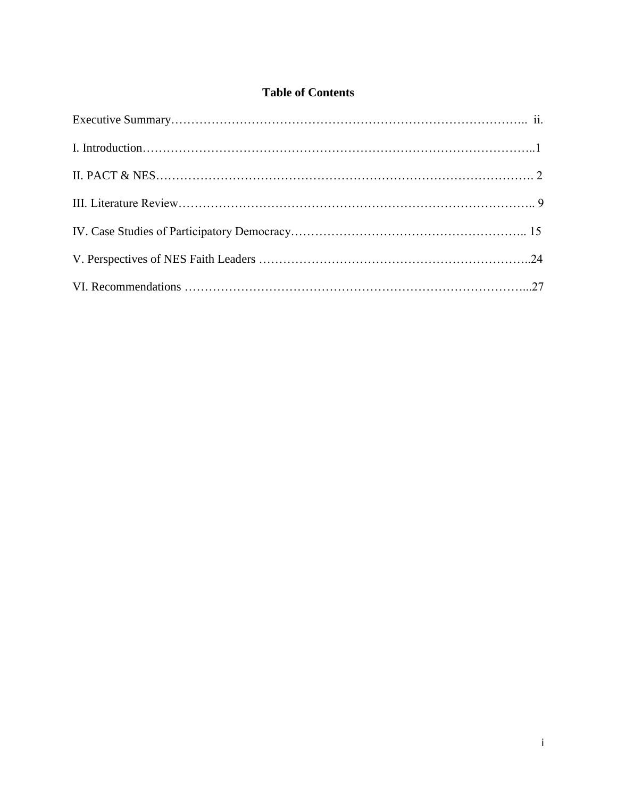# **Table of Contents**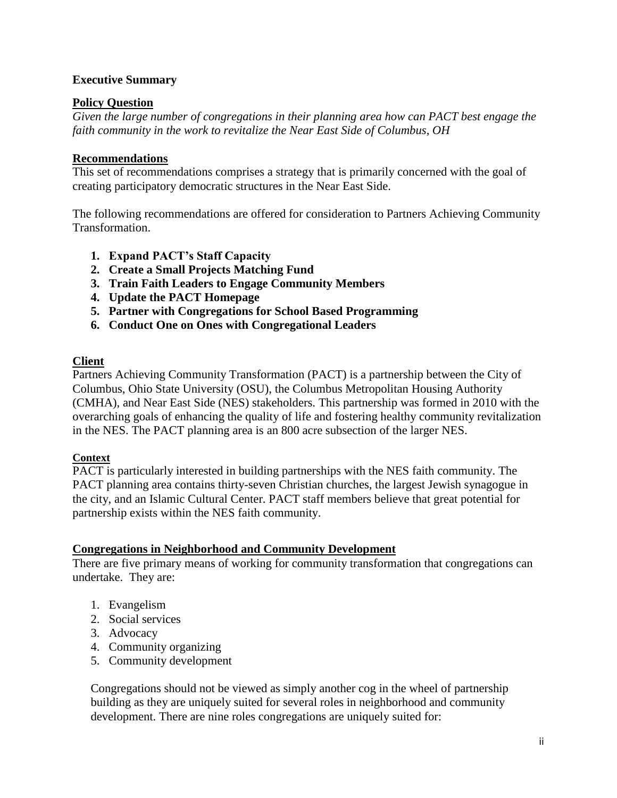#### **Executive Summary**

#### **Policy Question**

*Given the large number of congregations in their planning area how can PACT best engage the faith community in the work to revitalize the Near East Side of Columbus, OH*

#### **Recommendations**

This set of recommendations comprises a strategy that is primarily concerned with the goal of creating participatory democratic structures in the Near East Side.

The following recommendations are offered for consideration to Partners Achieving Community Transformation.

- **1. Expand PACT's Staff Capacity**
- **2. Create a Small Projects Matching Fund**
- **3. Train Faith Leaders to Engage Community Members**
- **4. Update the PACT Homepage**
- **5. Partner with Congregations for School Based Programming**
- **6. Conduct One on Ones with Congregational Leaders**

#### **Client**

Partners Achieving Community Transformation (PACT) is a partnership between the City of Columbus, Ohio State University (OSU), the Columbus Metropolitan Housing Authority (CMHA), and Near East Side (NES) stakeholders. This partnership was formed in 2010 with the overarching goals of enhancing the quality of life and fostering healthy community revitalization in the NES. The PACT planning area is an 800 acre subsection of the larger NES.

#### **Context**

PACT is particularly interested in building partnerships with the NES faith community. The PACT planning area contains thirty-seven Christian churches, the largest Jewish synagogue in the city, and an Islamic Cultural Center. PACT staff members believe that great potential for partnership exists within the NES faith community.

#### **Congregations in Neighborhood and Community Development**

There are five primary means of working for community transformation that congregations can undertake. They are:

- 1. Evangelism
- 2. Social services
- 3. Advocacy
- 4. Community organizing
- 5. Community development

Congregations should not be viewed as simply another cog in the wheel of partnership building as they are uniquely suited for several roles in neighborhood and community development. There are nine roles congregations are uniquely suited for: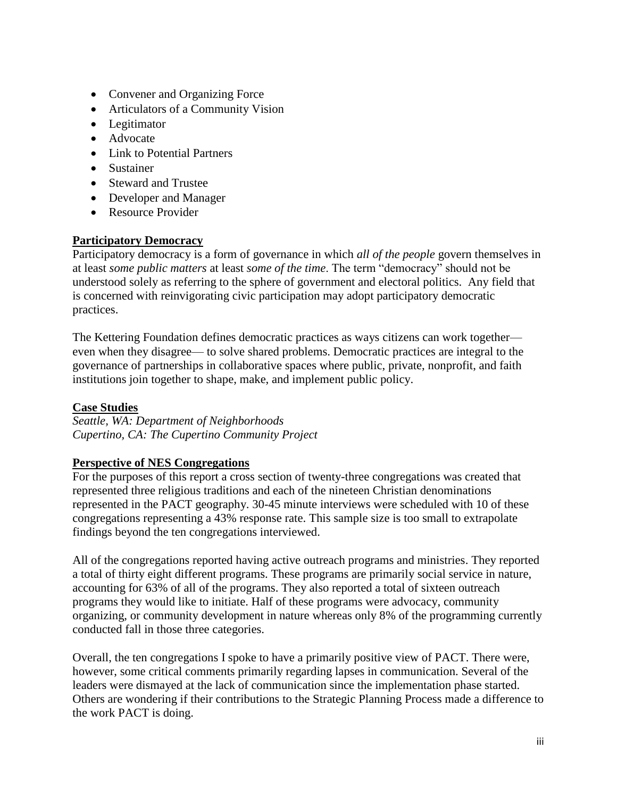- Convener and Organizing Force
- Articulators of a Community Vision
- Legitimator
- Advocate
- Link to Potential Partners
- Sustainer
- Steward and Trustee
- Developer and Manager
- Resource Provider

#### **Participatory Democracy**

Participatory democracy is a form of governance in which *all of the people* govern themselves in at least *some public matters* at least *some of the time*. The term "democracy" should not be understood solely as referring to the sphere of government and electoral politics. Any field that is concerned with reinvigorating civic participation may adopt participatory democratic practices.

The Kettering Foundation defines democratic practices as ways citizens can work together even when they disagree— to solve shared problems. Democratic practices are integral to the governance of partnerships in collaborative spaces where public, private, nonprofit, and faith institutions join together to shape, make, and implement public policy.

# **Case Studies**

*Seattle, WA: Department of Neighborhoods Cupertino, CA: The Cupertino Community Project*

#### **Perspective of NES Congregations**

For the purposes of this report a cross section of twenty-three congregations was created that represented three religious traditions and each of the nineteen Christian denominations represented in the PACT geography. 30-45 minute interviews were scheduled with 10 of these congregations representing a 43% response rate. This sample size is too small to extrapolate findings beyond the ten congregations interviewed.

All of the congregations reported having active outreach programs and ministries. They reported a total of thirty eight different programs. These programs are primarily social service in nature, accounting for 63% of all of the programs. They also reported a total of sixteen outreach programs they would like to initiate. Half of these programs were advocacy, community organizing, or community development in nature whereas only 8% of the programming currently conducted fall in those three categories.

Overall, the ten congregations I spoke to have a primarily positive view of PACT. There were, however, some critical comments primarily regarding lapses in communication. Several of the leaders were dismayed at the lack of communication since the implementation phase started. Others are wondering if their contributions to the Strategic Planning Process made a difference to the work PACT is doing.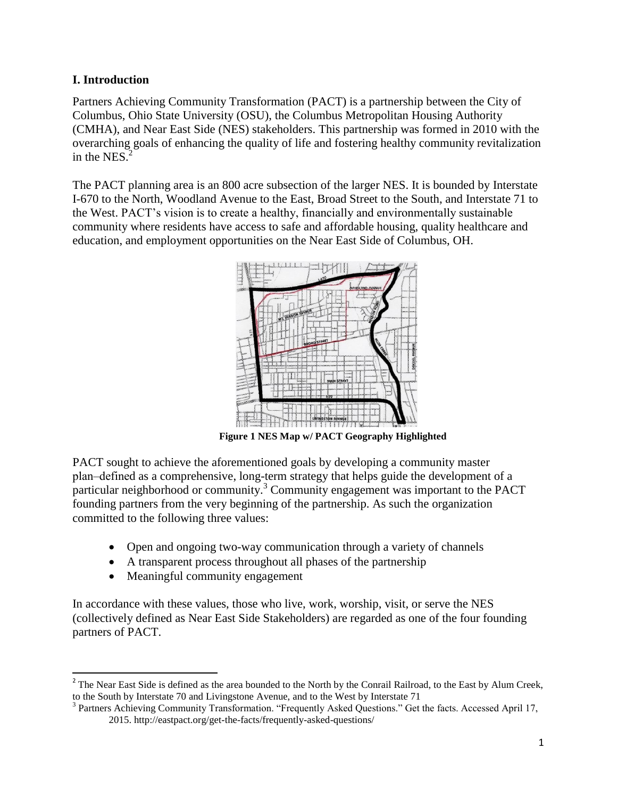# **I. Introduction**

Partners Achieving Community Transformation (PACT) is a partnership between the City of Columbus, Ohio State University (OSU), the Columbus Metropolitan Housing Authority (CMHA), and Near East Side (NES) stakeholders. This partnership was formed in 2010 with the overarching goals of enhancing the quality of life and fostering healthy community revitalization in the NES. $<sup>2</sup>$ </sup>

The PACT planning area is an 800 acre subsection of the larger NES. It is bounded by Interstate I-670 to the North, Woodland Avenue to the East, Broad Street to the South, and Interstate 71 to the West. PACT's vision is to create a healthy, financially and environmentally sustainable community where residents have access to safe and affordable housing, quality healthcare and education, and employment opportunities on the Near East Side of Columbus, OH.



 **Figure 1 NES Map w/ PACT Geography Highlighted**

PACT sought to achieve the aforementioned goals by developing a community master plan‒defined as a comprehensive, long-term strategy that helps guide the development of a particular neighborhood or community.<sup>3</sup> Community engagement was important to the PACT founding partners from the very beginning of the partnership. As such the organization committed to the following three values:

- Open and ongoing two-way communication through a variety of channels
- A transparent process throughout all phases of the partnership
- Meaningful community engagement

 $\overline{\phantom{a}}$ 

In accordance with these values, those who live, work, worship, visit, or serve the NES (collectively defined as Near East Side Stakeholders) are regarded as one of the four founding partners of PACT.

<sup>&</sup>lt;sup>2</sup> The Near East Side is defined as the area bounded to the North by the Conrail Railroad, to the East by Alum Creek, to the South by Interstate 70 and Livingstone Avenue, and to the West by Interstate 71

<sup>&</sup>lt;sup>3</sup> Partners Achieving Community Transformation. "Frequently Asked Questions." Get the facts. Accessed April 17, 2015. http://eastpact.org/get-the-facts/frequently-asked-questions/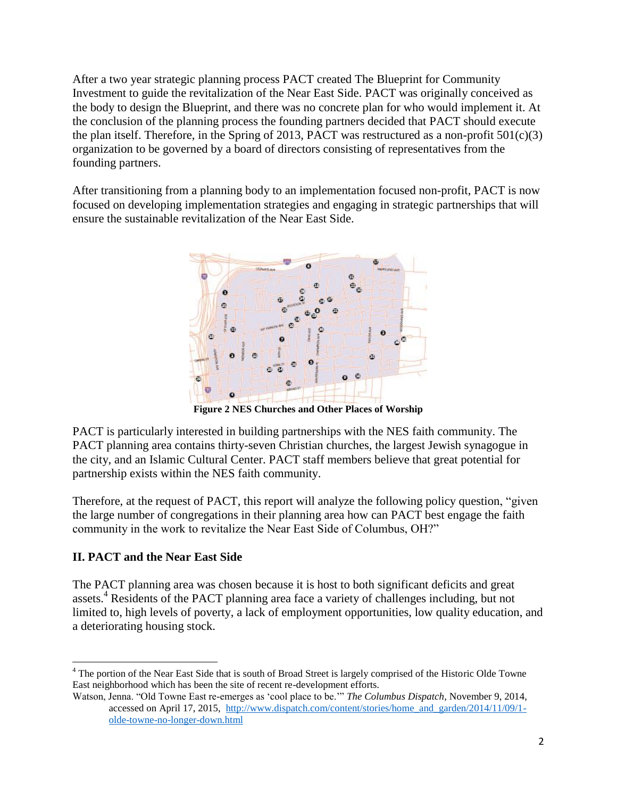After a two year strategic planning process PACT created The Blueprint for Community Investment to guide the revitalization of the Near East Side. PACT was originally conceived as the body to design the Blueprint, and there was no concrete plan for who would implement it. At the conclusion of the planning process the founding partners decided that PACT should execute the plan itself. Therefore, in the Spring of 2013, PACT was restructured as a non-profit  $501(c)(3)$ organization to be governed by a board of directors consisting of representatives from the founding partners.

After transitioning from a planning body to an implementation focused non-profit, PACT is now focused on developing implementation strategies and engaging in strategic partnerships that will ensure the sustainable revitalization of the Near East Side.



**Figure 2 NES Churches and Other Places of Worship**

PACT is particularly interested in building partnerships with the NES faith community. The PACT planning area contains thirty-seven Christian churches, the largest Jewish synagogue in the city, and an Islamic Cultural Center. PACT staff members believe that great potential for partnership exists within the NES faith community.

Therefore, at the request of PACT, this report will analyze the following policy question, "given the large number of congregations in their planning area how can PACT best engage the faith community in the work to revitalize the Near East Side of Columbus, OH?"

# **II. PACT and the Near East Side**

The PACT planning area was chosen because it is host to both significant deficits and great assets.<sup>4</sup> Residents of the PACT planning area face a variety of challenges including, but not limited to, high levels of poverty, a lack of employment opportunities, low quality education, and a deteriorating housing stock.

 $\overline{a}$ <sup>4</sup> The portion of the Near East Side that is south of Broad Street is largely comprised of the Historic Olde Towne East neighborhood which has been the site of recent re-development efforts.

Watson, Jenna. "Old Towne East re-emerges as 'cool place to be.'" *The Columbus Dispatch,* November 9, 2014, accessed on April 17, 2015, [http://www.dispatch.com/content/stories/home\\_and\\_garden/2014/11/09/1](http://www.dispatch.com/content/stories/home_and_garden/2014/11/09/1-) [olde-towne-no-longer-down.html](http://www.dispatch.com/content/stories/home_and_garden/2014/11/09/1-)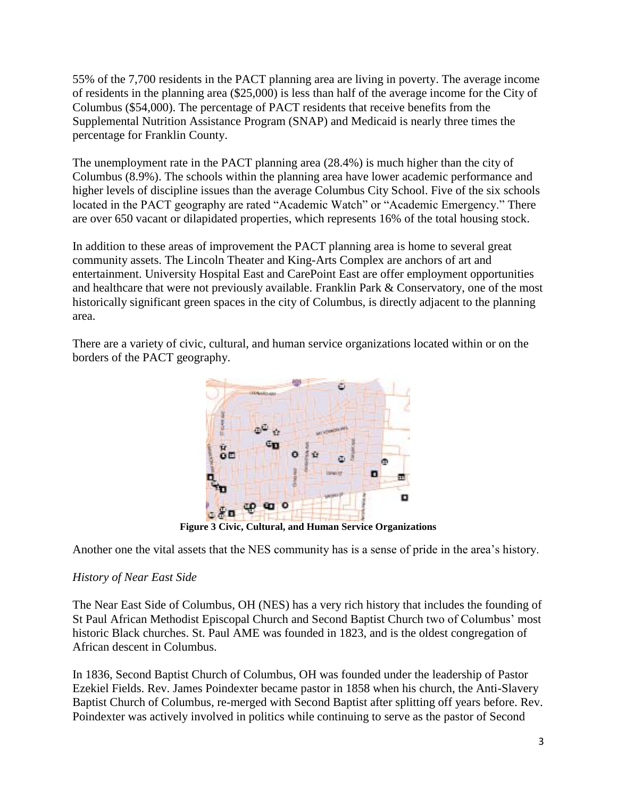55% of the 7,700 residents in the PACT planning area are living in poverty. The average income of residents in the planning area (\$25,000) is less than half of the average income for the City of Columbus (\$54,000). The percentage of PACT residents that receive benefits from the Supplemental Nutrition Assistance Program (SNAP) and Medicaid is nearly three times the percentage for Franklin County.

The unemployment rate in the PACT planning area (28.4%) is much higher than the city of Columbus (8.9%). The schools within the planning area have lower academic performance and higher levels of discipline issues than the average Columbus City School. Five of the six schools located in the PACT geography are rated "Academic Watch" or "Academic Emergency." There are over 650 vacant or dilapidated properties, which represents 16% of the total housing stock.

In addition to these areas of improvement the PACT planning area is home to several great community assets. The Lincoln Theater and King-Arts Complex are anchors of art and entertainment. University Hospital East and CarePoint East are offer employment opportunities and healthcare that were not previously available. Franklin Park & Conservatory, one of the most historically significant green spaces in the city of Columbus, is directly adjacent to the planning area.

There are a variety of civic, cultural, and human service organizations located within or on the borders of the PACT geography.



**Figure 3 Civic, Cultural, and Human Service Organizations**

Another one the vital assets that the NES community has is a sense of pride in the area's history.

# *History of Near East Side*

The Near East Side of Columbus, OH (NES) has a very rich history that includes the founding of St Paul African Methodist Episcopal Church and Second Baptist Church two of Columbus' most historic Black churches. St. Paul AME was founded in 1823, and is the oldest congregation of African descent in Columbus.

In 1836, Second Baptist Church of Columbus, OH was founded under the leadership of Pastor Ezekiel Fields. Rev. James Poindexter became pastor in 1858 when his church, the Anti-Slavery Baptist Church of Columbus, re-merged with Second Baptist after splitting off years before. Rev. Poindexter was actively involved in politics while continuing to serve as the pastor of Second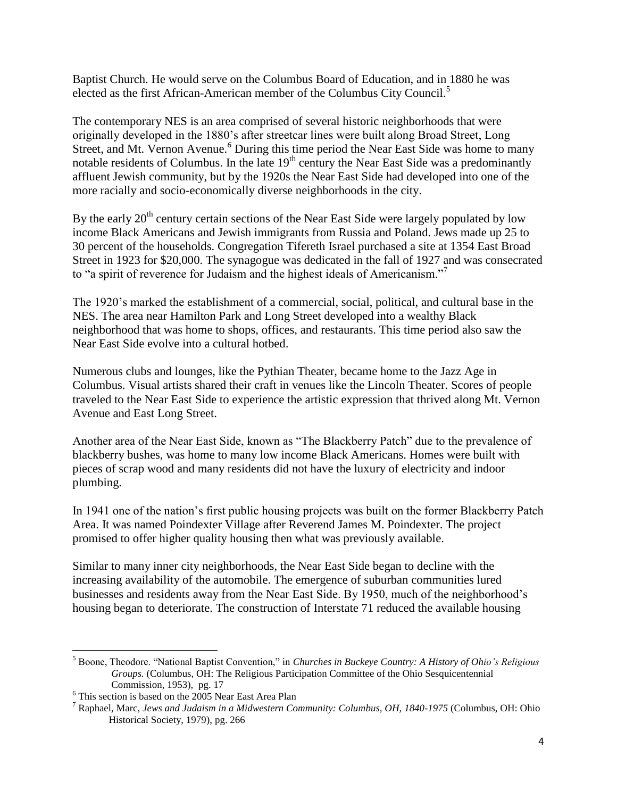Baptist Church. He would serve on the Columbus Board of Education, and in 1880 he was elected as the first African-American member of the Columbus City Council.<sup>5</sup>

The contemporary NES is an area comprised of several historic neighborhoods that were originally developed in the 1880's after streetcar lines were built along Broad Street, Long Street, and Mt. Vernon Avenue.*<sup>6</sup>* During this time period the Near East Side was home to many notable residents of Columbus. In the late  $19<sup>th</sup>$  century the Near East Side was a predominantly affluent Jewish community, but by the 1920s the Near East Side had developed into one of the more racially and socio-economically diverse neighborhoods in the city.

By the early  $20<sup>th</sup>$  century certain sections of the Near East Side were largely populated by low income Black Americans and Jewish immigrants from Russia and Poland. Jews made up 25 to 30 percent of the households. Congregation Tifereth Israel purchased a site at 1354 East Broad Street in 1923 for \$20,000. The synagogue was dedicated in the fall of 1927 and was consecrated to "a spirit of reverence for Judaism and the highest ideals of Americanism."

The 1920's marked the establishment of a commercial, social, political, and cultural base in the NES. The area near Hamilton Park and Long Street developed into a wealthy Black neighborhood that was home to shops, offices, and restaurants. This time period also saw the Near East Side evolve into a cultural hotbed.

Numerous clubs and lounges, like the Pythian Theater, became home to the Jazz Age in Columbus. Visual artists shared their craft in venues like the Lincoln Theater. Scores of people traveled to the Near East Side to experience the artistic expression that thrived along Mt. Vernon Avenue and East Long Street.

Another area of the Near East Side, known as "The Blackberry Patch" due to the prevalence of blackberry bushes, was home to many low income Black Americans. Homes were built with pieces of scrap wood and many residents did not have the luxury of electricity and indoor plumbing.

In 1941 one of the nation's first public housing projects was built on the former Blackberry Patch Area. It was named Poindexter Village after Reverend James M. Poindexter. The project promised to offer higher quality housing then what was previously available.

Similar to many inner city neighborhoods, the Near East Side began to decline with the increasing availability of the automobile. The emergence of suburban communities lured businesses and residents away from the Near East Side. By 1950, much of the neighborhood's housing began to deteriorate. The construction of Interstate 71 reduced the available housing

l

<sup>5</sup> Boone, Theodore. "National Baptist Convention," in *Churches in Buckeye Country: A History of Ohio's Religious Groups.* (Columbus, OH: The Religious Participation Committee of the Ohio Sesquicentennial Commission, 1953), pg. 17

<sup>&</sup>lt;sup>6</sup> This section is based on the 2005 Near East Area Plan

<sup>7</sup> Raphael, Marc, *Jews and Judaism in a Midwestern Community: Columbus, OH, 1840-1975* (Columbus, OH: Ohio Historical Society, 1979), pg. 266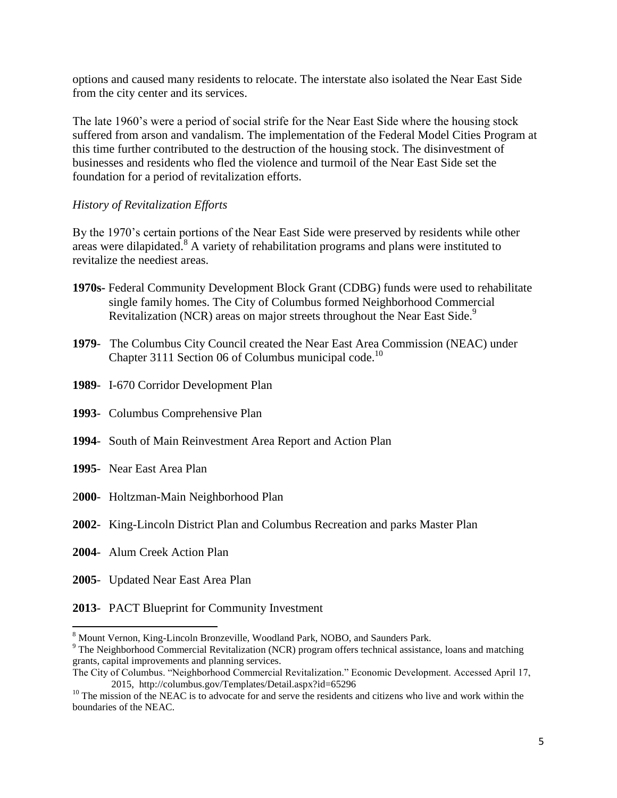options and caused many residents to relocate. The interstate also isolated the Near East Side from the city center and its services.

The late 1960's were a period of social strife for the Near East Side where the housing stock suffered from arson and vandalism. The implementation of the Federal Model Cities Program at this time further contributed to the destruction of the housing stock. The disinvestment of businesses and residents who fled the violence and turmoil of the Near East Side set the foundation for a period of revitalization efforts.

#### *History of Revitalization Efforts*

By the 1970's certain portions of the Near East Side were preserved by residents while other areas were dilapidated. $8$  A variety of rehabilitation programs and plans were instituted to revitalize the neediest areas.

- **1970s-** Federal Community Development Block Grant (CDBG) funds were used to rehabilitate single family homes. The City of Columbus formed Neighborhood Commercial Revitalization (NCR) areas on major streets throughout the Near East Side.<sup>9</sup>
- **1979** The Columbus City Council created the Near East Area Commission (NEAC) under Chapter 3111 Section 06 of Columbus municipal code.<sup>10</sup>
- **1989** I-670 Corridor Development Plan
- **1993** Columbus Comprehensive Plan
- **1994** South of Main Reinvestment Area Report and Action Plan
- **1995** Near East Area Plan
- 2**000** Holtzman-Main Neighborhood Plan
- **2002** King-Lincoln District Plan and Columbus Recreation and parks Master Plan
- **2004** Alum Creek Action Plan

l

- **2005** Updated Near East Area Plan
- **2013** PACT Blueprint for Community Investment

<sup>&</sup>lt;sup>8</sup> Mount Vernon, King-Lincoln Bronzeville, Woodland Park, NOBO, and Saunders Park.

<sup>&</sup>lt;sup>9</sup> The Neighborhood Commercial Revitalization (NCR) program offers technical assistance, loans and matching grants, capital improvements and planning services.

The City of Columbus. "Neighborhood Commercial Revitalization." Economic Development. Accessed April 17, 2015, http://columbus.gov/Templates/Detail.aspx?id=65296

<sup>&</sup>lt;sup>10</sup> The mission of the NEAC is to advocate for and serve the residents and citizens who live and work within the boundaries of the NEAC.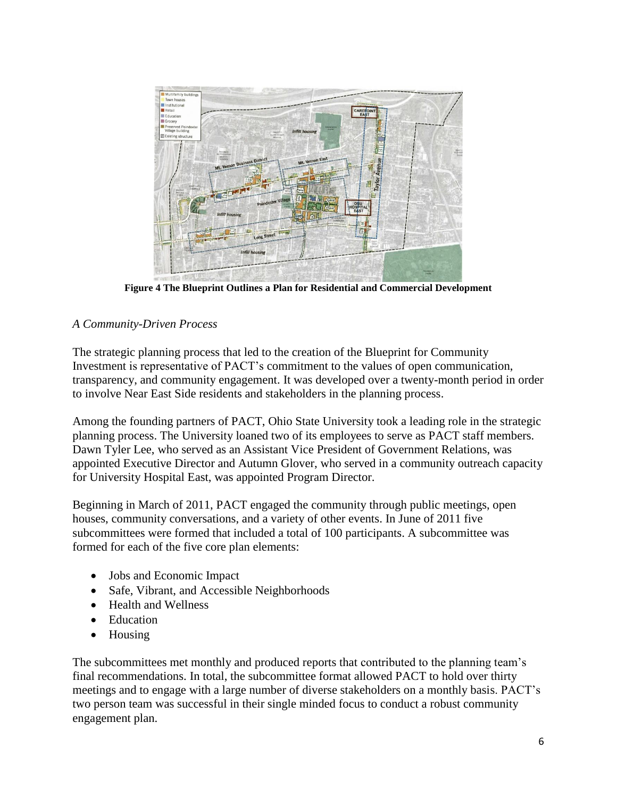

**Figure 4 The Blueprint Outlines a Plan for Residential and Commercial Development**

# *A Community-Driven Process*

The strategic planning process that led to the creation of the Blueprint for Community Investment is representative of PACT's commitment to the values of open communication, transparency, and community engagement. It was developed over a twenty-month period in order to involve Near East Side residents and stakeholders in the planning process.

Among the founding partners of PACT, Ohio State University took a leading role in the strategic planning process. The University loaned two of its employees to serve as PACT staff members. Dawn Tyler Lee, who served as an Assistant Vice President of Government Relations, was appointed Executive Director and Autumn Glover, who served in a community outreach capacity for University Hospital East, was appointed Program Director.

Beginning in March of 2011, PACT engaged the community through public meetings, open houses, community conversations, and a variety of other events. In June of 2011 five subcommittees were formed that included a total of 100 participants. A subcommittee was formed for each of the five core plan elements:

- Jobs and Economic Impact
- Safe, Vibrant, and Accessible Neighborhoods
- Health and Wellness
- Education
- Housing

The subcommittees met monthly and produced reports that contributed to the planning team's final recommendations. In total, the subcommittee format allowed PACT to hold over thirty meetings and to engage with a large number of diverse stakeholders on a monthly basis. PACT's two person team was successful in their single minded focus to conduct a robust community engagement plan.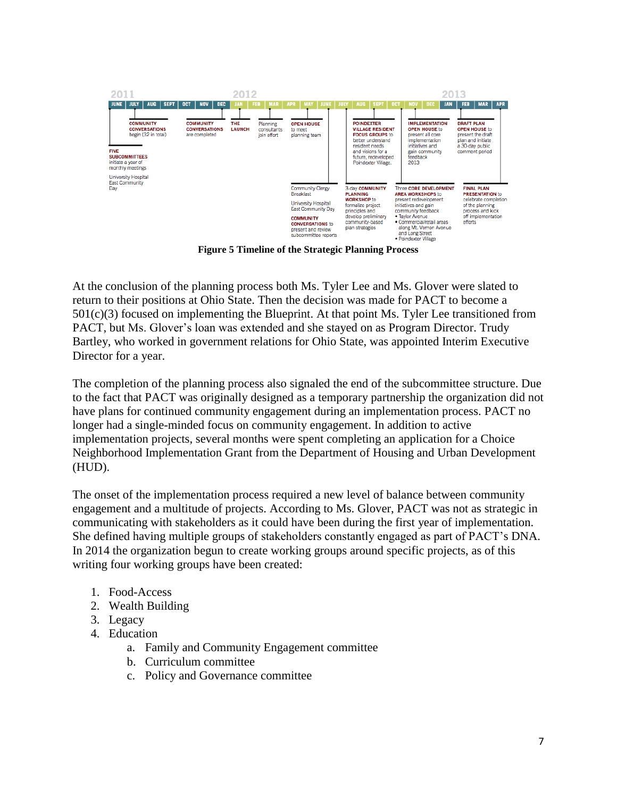

**Figure 5 Timeline of the Strategic Planning Process**

At the conclusion of the planning process both Ms. Tyler Lee and Ms. Glover were slated to return to their positions at Ohio State. Then the decision was made for PACT to become a 501(c)(3) focused on implementing the Blueprint. At that point Ms. Tyler Lee transitioned from PACT, but Ms. Glover's loan was extended and she stayed on as Program Director. Trudy Bartley, who worked in government relations for Ohio State, was appointed Interim Executive Director for a year.

The completion of the planning process also signaled the end of the subcommittee structure. Due to the fact that PACT was originally designed as a temporary partnership the organization did not have plans for continued community engagement during an implementation process. PACT no longer had a single-minded focus on community engagement. In addition to active implementation projects, several months were spent completing an application for a Choice Neighborhood Implementation Grant from the Department of Housing and Urban Development (HUD).

The onset of the implementation process required a new level of balance between community engagement and a multitude of projects. According to Ms. Glover, PACT was not as strategic in communicating with stakeholders as it could have been during the first year of implementation. She defined having multiple groups of stakeholders constantly engaged as part of PACT's DNA. In 2014 the organization begun to create working groups around specific projects, as of this writing four working groups have been created:

- 1. Food-Access
- 2. Wealth Building
- 3. Legacy
- 4. Education
	- a. Family and Community Engagement committee
	- b. Curriculum committee
	- c. Policy and Governance committee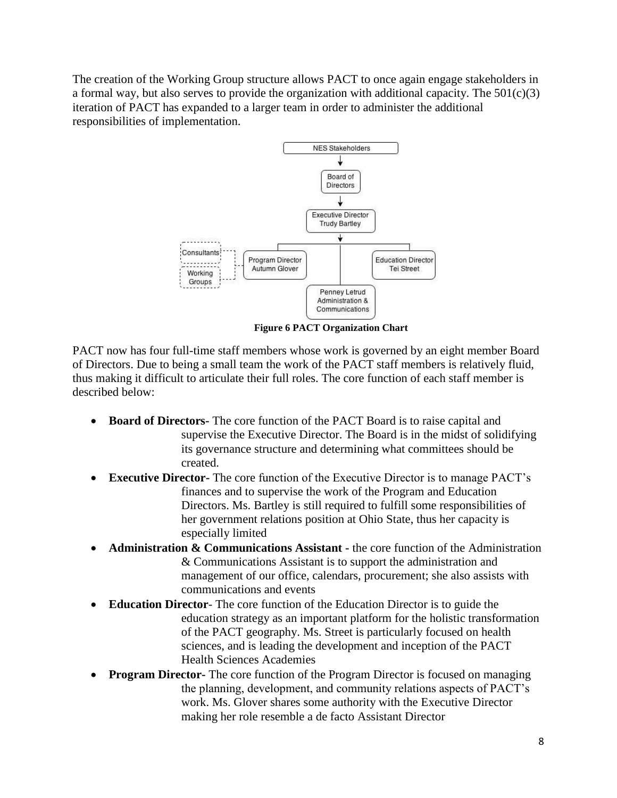The creation of the Working Group structure allows PACT to once again engage stakeholders in a formal way, but also serves to provide the organization with additional capacity. The  $501(c)(3)$ iteration of PACT has expanded to a larger team in order to administer the additional responsibilities of implementation.



 **Figure 6 PACT Organization Chart**

PACT now has four full-time staff members whose work is governed by an eight member Board of Directors. Due to being a small team the work of the PACT staff members is relatively fluid, thus making it difficult to articulate their full roles. The core function of each staff member is described below:

- **Board of Directors-** The core function of the PACT Board is to raise capital and supervise the Executive Director. The Board is in the midst of solidifying its governance structure and determining what committees should be created.
- **Executive Director-** The core function of the Executive Director is to manage PACT's finances and to supervise the work of the Program and Education Directors. Ms. Bartley is still required to fulfill some responsibilities of her government relations position at Ohio State, thus her capacity is especially limited
- **Administration & Communications Assistant -** the core function of the Administration & Communications Assistant is to support the administration and management of our office, calendars, procurement; she also assists with communications and events
- **Education Director** The core function of the Education Director is to guide the education strategy as an important platform for the holistic transformation of the PACT geography. Ms. Street is particularly focused on health sciences, and is leading the development and inception of the PACT Health Sciences Academies
- **Program Director-** The core function of the Program Director is focused on managing the planning, development, and community relations aspects of PACT's work. Ms. Glover shares some authority with the Executive Director making her role resemble a de facto Assistant Director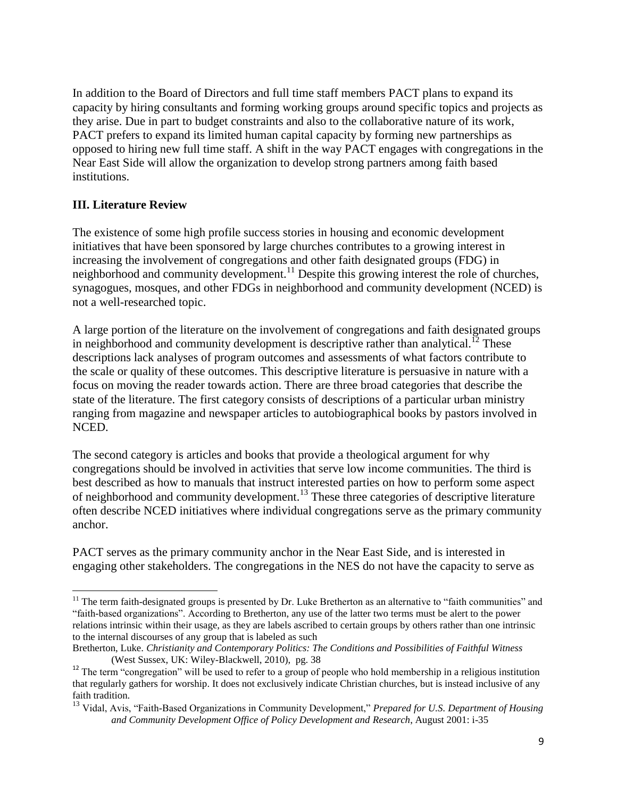In addition to the Board of Directors and full time staff members PACT plans to expand its capacity by hiring consultants and forming working groups around specific topics and projects as they arise. Due in part to budget constraints and also to the collaborative nature of its work, PACT prefers to expand its limited human capital capacity by forming new partnerships as opposed to hiring new full time staff. A shift in the way PACT engages with congregations in the Near East Side will allow the organization to develop strong partners among faith based institutions.

# **III. Literature Review**

 $\overline{a}$ 

The existence of some high profile success stories in housing and economic development initiatives that have been sponsored by large churches contributes to a growing interest in increasing the involvement of congregations and other faith designated groups (FDG) in neighborhood and community development.<sup>11</sup> Despite this growing interest the role of churches, synagogues, mosques, and other FDGs in neighborhood and community development (NCED) is not a well-researched topic.

A large portion of the literature on the involvement of congregations and faith designated groups in neighborhood and community development is descriptive rather than analytical.<sup>12</sup> These descriptions lack analyses of program outcomes and assessments of what factors contribute to the scale or quality of these outcomes. This descriptive literature is persuasive in nature with a focus on moving the reader towards action. There are three broad categories that describe the state of the literature. The first category consists of descriptions of a particular urban ministry ranging from magazine and newspaper articles to autobiographical books by pastors involved in NCED.

The second category is articles and books that provide a theological argument for why congregations should be involved in activities that serve low income communities. The third is best described as how to manuals that instruct interested parties on how to perform some aspect of neighborhood and community development.<sup>13</sup> These three categories of descriptive literature often describe NCED initiatives where individual congregations serve as the primary community anchor.

PACT serves as the primary community anchor in the Near East Side, and is interested in engaging other stakeholders. The congregations in the NES do not have the capacity to serve as

 $11$  The term faith-designated groups is presented by Dr. Luke Bretherton as an alternative to "faith communities" and "faith-based organizations". According to Bretherton, any use of the latter two terms must be alert to the power relations intrinsic within their usage, as they are labels ascribed to certain groups by others rather than one intrinsic to the internal discourses of any group that is labeled as such

Bretherton, Luke. *Christianity and Contemporary Politics: The Conditions and Possibilities of Faithful Witness* (West Sussex, UK: Wiley-Blackwell, 2010), pg. 38

<sup>&</sup>lt;sup>12</sup> The term "congregation" will be used to refer to a group of people who hold membership in a religious institution that regularly gathers for worship. It does not exclusively indicate Christian churches, but is instead inclusive of any faith tradition.

<sup>13</sup> Vidal, Avis, "Faith-Based Organizations in Community Development," *Prepared for U.S. Department of Housing and Community Development Office of Policy Development and Research*, August 2001: i-35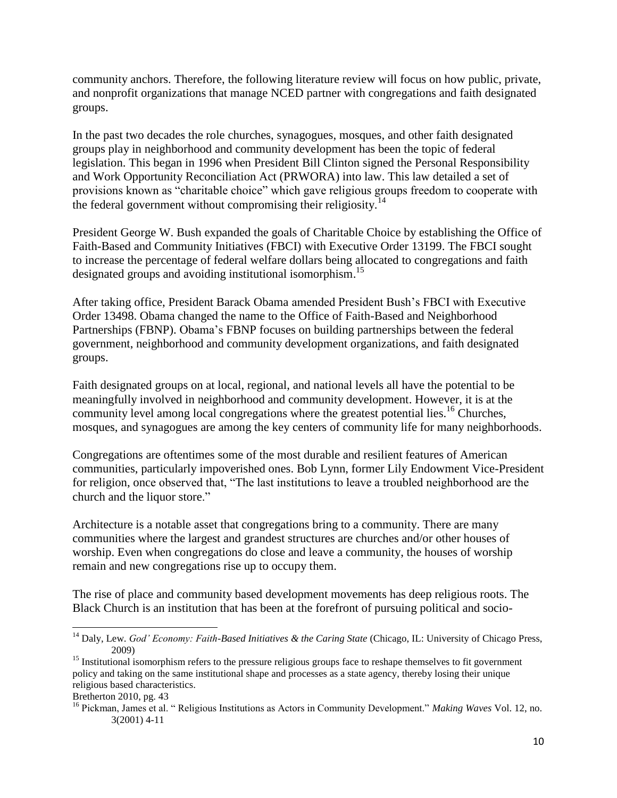community anchors. Therefore, the following literature review will focus on how public, private, and nonprofit organizations that manage NCED partner with congregations and faith designated groups.

In the past two decades the role churches, synagogues, mosques, and other faith designated groups play in neighborhood and community development has been the topic of federal legislation. This began in 1996 when President Bill Clinton signed the Personal Responsibility and Work Opportunity Reconciliation Act (PRWORA) into law. This law detailed a set of provisions known as "charitable choice" which gave religious groups freedom to cooperate with the federal government without compromising their religiosity.<sup>14</sup>

President George W. Bush expanded the goals of Charitable Choice by establishing the Office of Faith-Based and Community Initiatives (FBCI) with Executive Order 13199. The FBCI sought to increase the percentage of federal welfare dollars being allocated to congregations and faith designated groups and avoiding institutional isomorphism.<sup>15</sup>

After taking office, President Barack Obama amended President Bush's FBCI with Executive Order 13498. Obama changed the name to the Office of Faith-Based and Neighborhood Partnerships (FBNP). Obama's FBNP focuses on building partnerships between the federal government, neighborhood and community development organizations, and faith designated groups.

Faith designated groups on at local, regional, and national levels all have the potential to be meaningfully involved in neighborhood and community development. However, it is at the community level among local congregations where the greatest potential lies.<sup>16</sup> Churches, mosques, and synagogues are among the key centers of community life for many neighborhoods.

Congregations are oftentimes some of the most durable and resilient features of American communities, particularly impoverished ones. Bob Lynn, former Lily Endowment Vice-President for religion, once observed that, "The last institutions to leave a troubled neighborhood are the church and the liquor store."

Architecture is a notable asset that congregations bring to a community. There are many communities where the largest and grandest structures are churches and/or other houses of worship. Even when congregations do close and leave a community, the houses of worship remain and new congregations rise up to occupy them.

The rise of place and community based development movements has deep religious roots. The Black Church is an institution that has been at the forefront of pursuing political and socio-

Bretherton 2010, pg. 43

 $\overline{a}$ <sup>14</sup> Daly, Lew. *God' Economy: Faith-Based Initiatives & the Caring State* (Chicago, IL: University of Chicago Press, 2009)

<sup>&</sup>lt;sup>15</sup> Institutional isomorphism refers to the pressure religious groups face to reshape themselves to fit government policy and taking on the same institutional shape and processes as a state agency, thereby losing their unique religious based characteristics.

<sup>16</sup> Pickman, James et al. " Religious Institutions as Actors in Community Development." *Making Waves* Vol. 12, no. 3(2001) 4-11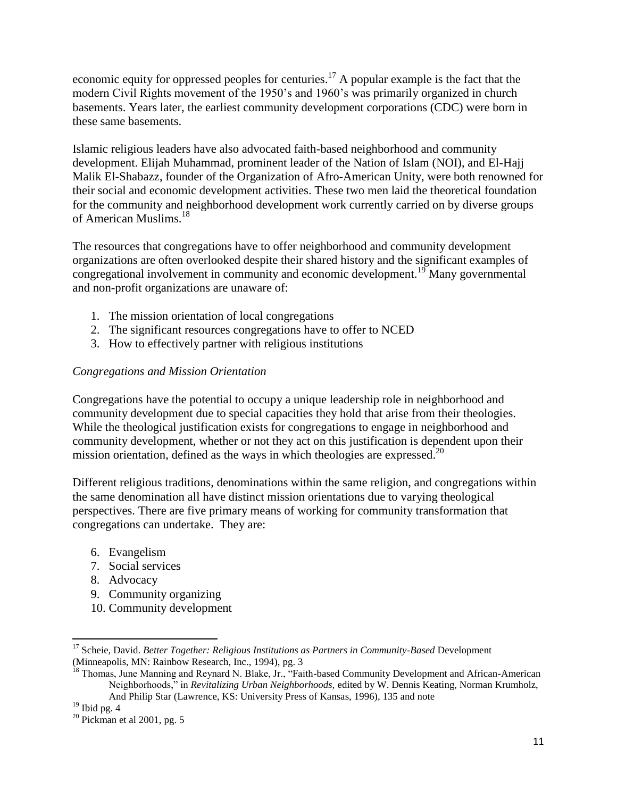economic equity for oppressed peoples for centuries.<sup>17</sup> A popular example is the fact that the modern Civil Rights movement of the 1950's and 1960's was primarily organized in church basements. Years later, the earliest community development corporations (CDC) were born in these same basements.

Islamic religious leaders have also advocated faith-based neighborhood and community development. Elijah Muhammad, prominent leader of the Nation of Islam (NOI), and El-Hajj Malik El-Shabazz, founder of the Organization of Afro-American Unity, were both renowned for their social and economic development activities. These two men laid the theoretical foundation for the community and neighborhood development work currently carried on by diverse groups of American Muslims.<sup>18</sup>

The resources that congregations have to offer neighborhood and community development organizations are often overlooked despite their shared history and the significant examples of congregational involvement in community and economic development.<sup>19</sup> Many governmental and non-profit organizations are unaware of:

- 1. The mission orientation of local congregations
- 2. The significant resources congregations have to offer to NCED
- 3. How to effectively partner with religious institutions

# *Congregations and Mission Orientation*

Congregations have the potential to occupy a unique leadership role in neighborhood and community development due to special capacities they hold that arise from their theologies. While the theological justification exists for congregations to engage in neighborhood and community development, whether or not they act on this justification is dependent upon their mission orientation, defined as the ways in which theologies are expressed.<sup>20</sup>

Different religious traditions, denominations within the same religion, and congregations within the same denomination all have distinct mission orientations due to varying theological perspectives. There are five primary means of working for community transformation that congregations can undertake. They are:

- 6. Evangelism
- 7. Social services
- 8. Advocacy
- 9. Community organizing
- 10. Community development

<sup>&</sup>lt;sup>17</sup> Scheie, David. *Better Together: Religious Institutions as Partners in Community-Based* Development (Minneapolis, MN: Rainbow Research, Inc., 1994), pg. 3

<sup>&</sup>lt;sup>18</sup> Thomas, June Manning and Reynard N. Blake, Jr., "Faith-based Community Development and African-American Neighborhoods," in *Revitalizing Urban Neighborhoods,* edited by W. Dennis Keating, Norman Krumholz, And Philip Star (Lawrence, KS: University Press of Kansas, 1996), 135 and note

 $19$  Ibid pg. 4

 $20$  Pickman et al 2001, pg. 5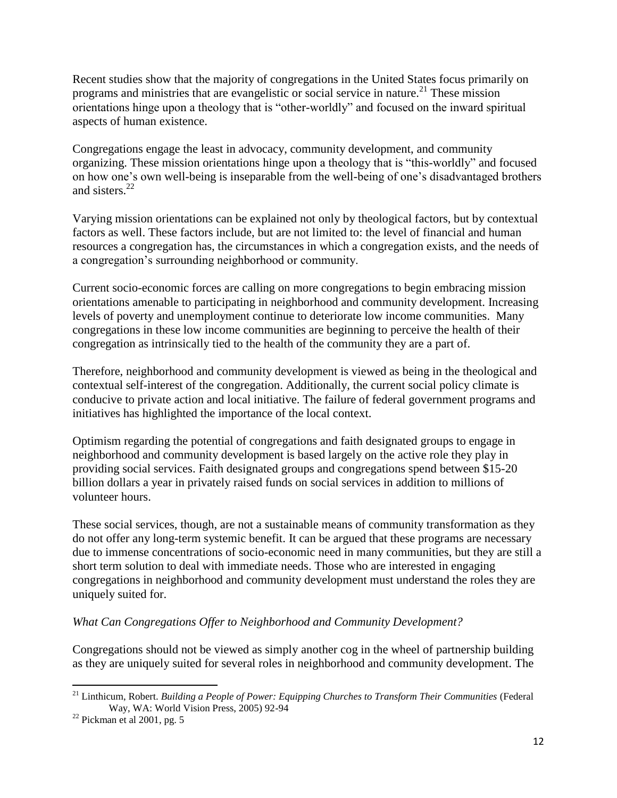Recent studies show that the majority of congregations in the United States focus primarily on programs and ministries that are evangelistic or social service in nature.<sup>21</sup> These mission orientations hinge upon a theology that is "other-worldly" and focused on the inward spiritual aspects of human existence.

Congregations engage the least in advocacy, community development, and community organizing. These mission orientations hinge upon a theology that is "this-worldly" and focused on how one's own well-being is inseparable from the well-being of one's disadvantaged brothers and sisters.<sup>22</sup>

Varying mission orientations can be explained not only by theological factors, but by contextual factors as well. These factors include, but are not limited to: the level of financial and human resources a congregation has, the circumstances in which a congregation exists, and the needs of a congregation's surrounding neighborhood or community.

Current socio-economic forces are calling on more congregations to begin embracing mission orientations amenable to participating in neighborhood and community development. Increasing levels of poverty and unemployment continue to deteriorate low income communities. Many congregations in these low income communities are beginning to perceive the health of their congregation as intrinsically tied to the health of the community they are a part of.

Therefore, neighborhood and community development is viewed as being in the theological and contextual self-interest of the congregation. Additionally, the current social policy climate is conducive to private action and local initiative. The failure of federal government programs and initiatives has highlighted the importance of the local context.

Optimism regarding the potential of congregations and faith designated groups to engage in neighborhood and community development is based largely on the active role they play in providing social services. Faith designated groups and congregations spend between \$15-20 billion dollars a year in privately raised funds on social services in addition to millions of volunteer hours.

These social services, though, are not a sustainable means of community transformation as they do not offer any long-term systemic benefit. It can be argued that these programs are necessary due to immense concentrations of socio-economic need in many communities, but they are still a short term solution to deal with immediate needs. Those who are interested in engaging congregations in neighborhood and community development must understand the roles they are uniquely suited for.

# *What Can Congregations Offer to Neighborhood and Community Development?*

Congregations should not be viewed as simply another cog in the wheel of partnership building as they are uniquely suited for several roles in neighborhood and community development. The

 $\overline{\phantom{a}}$ <sup>21</sup> Linthicum, Robert. *Building a People of Power: Equipping Churches to Transform Their Communities (Federal* Way, WA: World Vision Press, 2005) 92-94

 $22$  Pickman et al 2001, pg. 5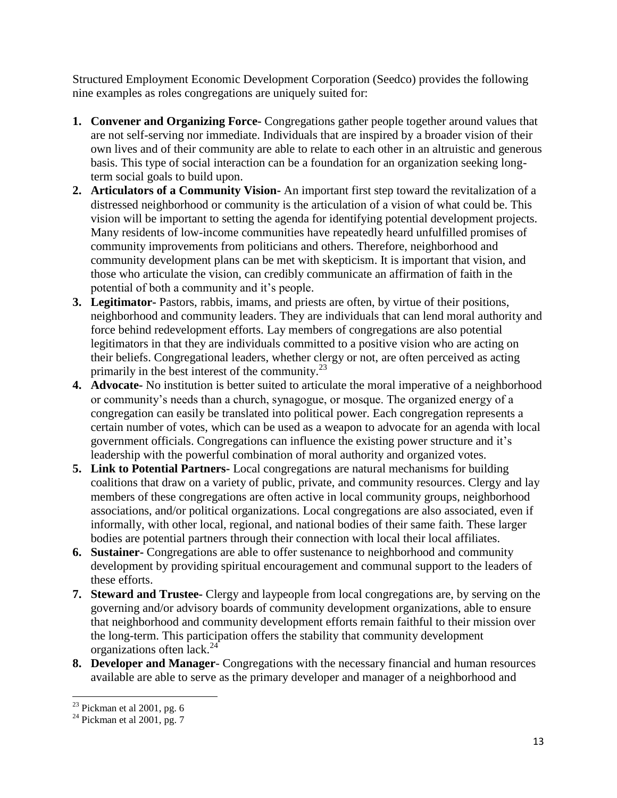Structured Employment Economic Development Corporation (Seedco) provides the following nine examples as roles congregations are uniquely suited for:

- **1. Convener and Organizing Force-** Congregations gather people together around values that are not self-serving nor immediate. Individuals that are inspired by a broader vision of their own lives and of their community are able to relate to each other in an altruistic and generous basis. This type of social interaction can be a foundation for an organization seeking longterm social goals to build upon.
- **2. Articulators of a Community Vision-** An important first step toward the revitalization of a distressed neighborhood or community is the articulation of a vision of what could be. This vision will be important to setting the agenda for identifying potential development projects. Many residents of low-income communities have repeatedly heard unfulfilled promises of community improvements from politicians and others. Therefore, neighborhood and community development plans can be met with skepticism. It is important that vision, and those who articulate the vision, can credibly communicate an affirmation of faith in the potential of both a community and it's people.
- **3. Legitimator-** Pastors, rabbis, imams, and priests are often, by virtue of their positions, neighborhood and community leaders. They are individuals that can lend moral authority and force behind redevelopment efforts. Lay members of congregations are also potential legitimators in that they are individuals committed to a positive vision who are acting on their beliefs. Congregational leaders, whether clergy or not, are often perceived as acting primarily in the best interest of the community. $^{23}$
- **4. Advocate-** No institution is better suited to articulate the moral imperative of a neighborhood or community's needs than a church, synagogue, or mosque. The organized energy of a congregation can easily be translated into political power. Each congregation represents a certain number of votes, which can be used as a weapon to advocate for an agenda with local government officials. Congregations can influence the existing power structure and it's leadership with the powerful combination of moral authority and organized votes.
- **5. Link to Potential Partners-** Local congregations are natural mechanisms for building coalitions that draw on a variety of public, private, and community resources. Clergy and lay members of these congregations are often active in local community groups, neighborhood associations, and/or political organizations. Local congregations are also associated, even if informally, with other local, regional, and national bodies of their same faith. These larger bodies are potential partners through their connection with local their local affiliates.
- **6. Sustainer-** Congregations are able to offer sustenance to neighborhood and community development by providing spiritual encouragement and communal support to the leaders of these efforts.
- **7. Steward and Trustee-** Clergy and laypeople from local congregations are, by serving on the governing and/or advisory boards of community development organizations, able to ensure that neighborhood and community development efforts remain faithful to their mission over the long-term. This participation offers the stability that community development organizations often lack.<sup>24</sup>
- **8. Developer and Manager** Congregations with the necessary financial and human resources available are able to serve as the primary developer and manager of a neighborhood and

 $\overline{\phantom{a}}$  $23$  Pickman et al 2001, pg. 6

 $24$  Pickman et al 2001, pg. 7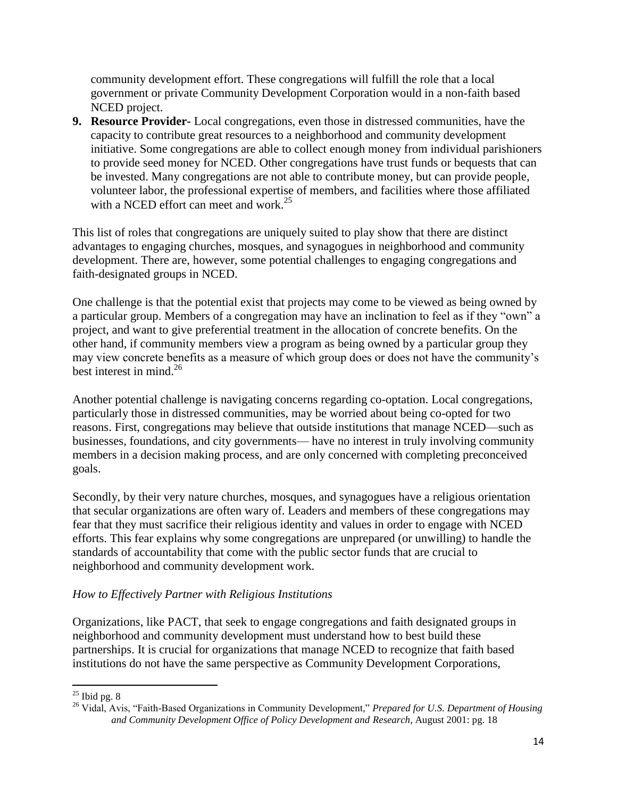community development effort. These congregations will fulfill the role that a local government or private Community Development Corporation would in a non-faith based NCED project.

**9. Resource Provider-** Local congregations, even those in distressed communities, have the capacity to contribute great resources to a neighborhood and community development initiative. Some congregations are able to collect enough money from individual parishioners to provide seed money for NCED. Other congregations have trust funds or bequests that can be invested. Many congregations are not able to contribute money, but can provide people, volunteer labor, the professional expertise of members, and facilities where those affiliated with a NCED effort can meet and work.<sup>25</sup>

This list of roles that congregations are uniquely suited to play show that there are distinct advantages to engaging churches, mosques, and synagogues in neighborhood and community development. There are, however, some potential challenges to engaging congregations and faith-designated groups in NCED.

One challenge is that the potential exist that projects may come to be viewed as being owned by a particular group. Members of a congregation may have an inclination to feel as if they "own" a project, and want to give preferential treatment in the allocation of concrete benefits. On the other hand, if community members view a program as being owned by a particular group they may view concrete benefits as a measure of which group does or does not have the community's best interest in mind.<sup>26</sup>

Another potential challenge is navigating concerns regarding co-optation. Local congregations, particularly those in distressed communities, may be worried about being co-opted for two reasons. First, congregations may believe that outside institutions that manage NCED—such as businesses, foundations, and city governments— have no interest in truly involving community members in a decision making process, and are only concerned with completing preconceived goals.

Secondly, by their very nature churches, mosques, and synagogues have a religious orientation that secular organizations are often wary of. Leaders and members of these congregations may fear that they must sacrifice their religious identity and values in order to engage with NCED efforts. This fear explains why some congregations are unprepared (or unwilling) to handle the standards of accountability that come with the public sector funds that are crucial to neighborhood and community development work.

# *How to Effectively Partner with Religious Institutions*

Organizations, like PACT, that seek to engage congregations and faith designated groups in neighborhood and community development must understand how to best build these partnerships. It is crucial for organizations that manage NCED to recognize that faith based institutions do not have the same perspective as Community Development Corporations,

 $\overline{\phantom{a}}$  $25$  Ibid pg. 8

<sup>26</sup> Vidal, Avis, "Faith-Based Organizations in Community Development," *Prepared for U.S. Department of Housing and Community Development Office of Policy Development and Research*, August 2001: pg. 18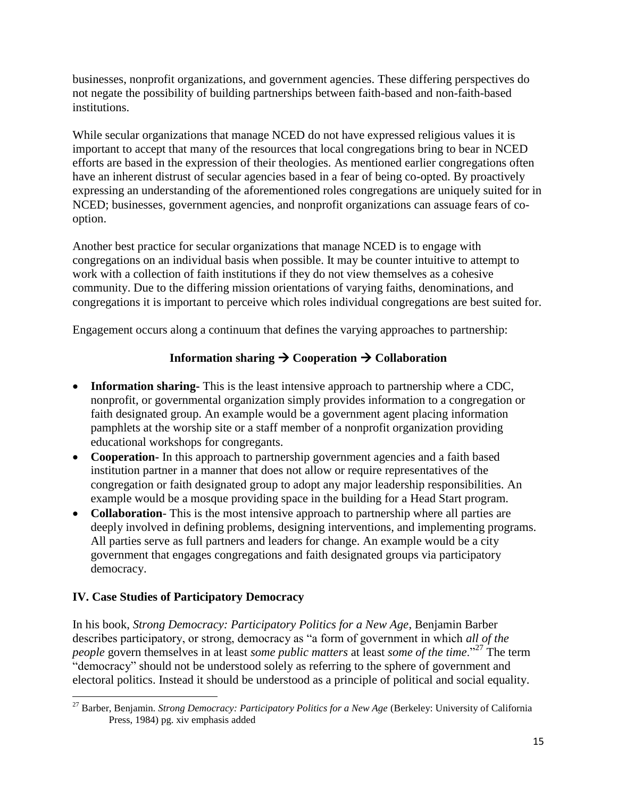businesses, nonprofit organizations, and government agencies. These differing perspectives do not negate the possibility of building partnerships between faith-based and non-faith-based institutions.

While secular organizations that manage NCED do not have expressed religious values it is important to accept that many of the resources that local congregations bring to bear in NCED efforts are based in the expression of their theologies. As mentioned earlier congregations often have an inherent distrust of secular agencies based in a fear of being co-opted. By proactively expressing an understanding of the aforementioned roles congregations are uniquely suited for in NCED; businesses, government agencies, and nonprofit organizations can assuage fears of cooption.

Another best practice for secular organizations that manage NCED is to engage with congregations on an individual basis when possible. It may be counter intuitive to attempt to work with a collection of faith institutions if they do not view themselves as a cohesive community. Due to the differing mission orientations of varying faiths, denominations, and congregations it is important to perceive which roles individual congregations are best suited for.

Engagement occurs along a continuum that defines the varying approaches to partnership:

# **Information sharing**  $\rightarrow$  **Cooperation**  $\rightarrow$  **Collaboration**

- **Information sharing-** This is the least intensive approach to partnership where a CDC, nonprofit, or governmental organization simply provides information to a congregation or faith designated group. An example would be a government agent placing information pamphlets at the worship site or a staff member of a nonprofit organization providing educational workshops for congregants.
- **Cooperation-** In this approach to partnership government agencies and a faith based institution partner in a manner that does not allow or require representatives of the congregation or faith designated group to adopt any major leadership responsibilities. An example would be a mosque providing space in the building for a Head Start program.
- **Collaboration** This is the most intensive approach to partnership where all parties are deeply involved in defining problems, designing interventions, and implementing programs. All parties serve as full partners and leaders for change. An example would be a city government that engages congregations and faith designated groups via participatory democracy.

# **IV. Case Studies of Participatory Democracy**

In his book, *Strong Democracy: Participatory Politics for a New Age*, Benjamin Barber describes participatory, or strong, democracy as "a form of government in which *all of the people* govern themselves in at least *some public matters* at least *some of the time*."<sup>27</sup> The term "democracy" should not be understood solely as referring to the sphere of government and electoral politics. Instead it should be understood as a principle of political and social equality.

 $\overline{\phantom{a}}$ <sup>27</sup> Barber, Benjamin. *Strong Democracy: Participatory Politics for a New Age* (Berkeley: University of California Press, 1984) pg. xiv emphasis added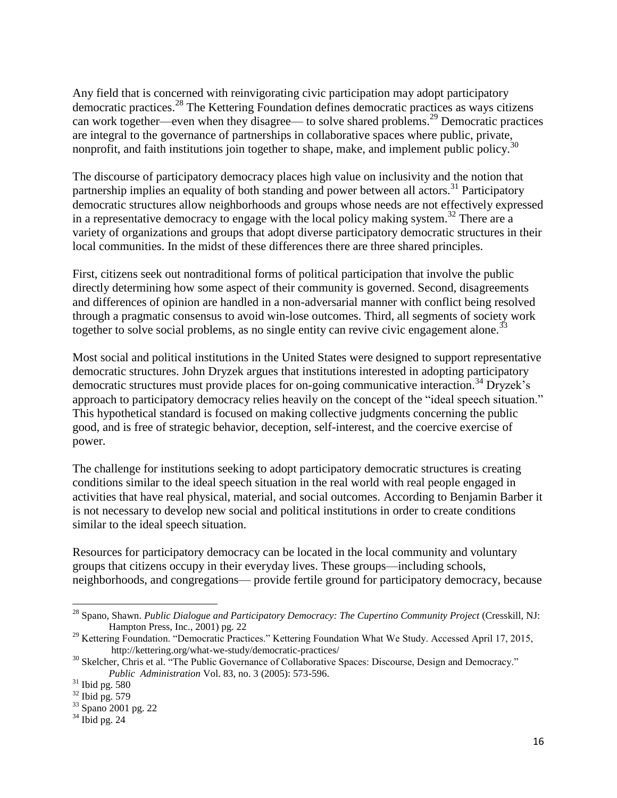Any field that is concerned with reinvigorating civic participation may adopt participatory democratic practices. <sup>28</sup> The Kettering Foundation defines democratic practices as ways citizens can work together—even when they disagree— to solve shared problems.<sup>29</sup> Democratic practices are integral to the governance of partnerships in collaborative spaces where public, private, nonprofit, and faith institutions join together to shape, make, and implement public policy.<sup>30</sup>

The discourse of participatory democracy places high value on inclusivity and the notion that partnership implies an equality of both standing and power between all actors.<sup>31</sup> Participatory democratic structures allow neighborhoods and groups whose needs are not effectively expressed in a representative democracy to engage with the local policy making system.<sup>32</sup> There are a variety of organizations and groups that adopt diverse participatory democratic structures in their local communities. In the midst of these differences there are three shared principles.

First, citizens seek out nontraditional forms of political participation that involve the public directly determining how some aspect of their community is governed. Second, disagreements and differences of opinion are handled in a non-adversarial manner with conflict being resolved through a pragmatic consensus to avoid win-lose outcomes. Third, all segments of society work together to solve social problems, as no single entity can revive civic engagement alone.<sup>33</sup>

Most social and political institutions in the United States were designed to support representative democratic structures. John Dryzek argues that institutions interested in adopting participatory democratic structures must provide places for on-going communicative interaction.<sup>34</sup> Dryzek's approach to participatory democracy relies heavily on the concept of the "ideal speech situation." This hypothetical standard is focused on making collective judgments concerning the public good, and is free of strategic behavior, deception, self-interest, and the coercive exercise of power.

The challenge for institutions seeking to adopt participatory democratic structures is creating conditions similar to the ideal speech situation in the real world with real people engaged in activities that have real physical, material, and social outcomes. According to Benjamin Barber it is not necessary to develop new social and political institutions in order to create conditions similar to the ideal speech situation.

Resources for participatory democracy can be located in the local community and voluntary groups that citizens occupy in their everyday lives. These groups—including schools, neighborhoods, and congregations— provide fertile ground for participatory democracy, because

<sup>&</sup>lt;sup>28</sup> Spano, Shawn. *Public Dialogue and Participatory Democracy: The Cupertino Community Project* (Cresskill, NJ: Hampton Press, Inc., 2001) pg. 22

<sup>&</sup>lt;sup>29</sup> Kettering Foundation. "Democratic Practices." Kettering Foundation What We Study. Accessed April 17, 2015, http://kettering.org/what-we-study/democratic-practices/

<sup>&</sup>lt;sup>30</sup> Skelcher, Chris et al. "The Public Governance of Collaborative Spaces: Discourse, Design and Democracy." *Public Administration* Vol. 83, no. 3 (2005): 573-596.

 $31$  Ibid pg. 580

 $32$  Ibid pg. 579

<sup>33</sup> Spano 2001 pg. 22

 $34$  Ibid pg. 24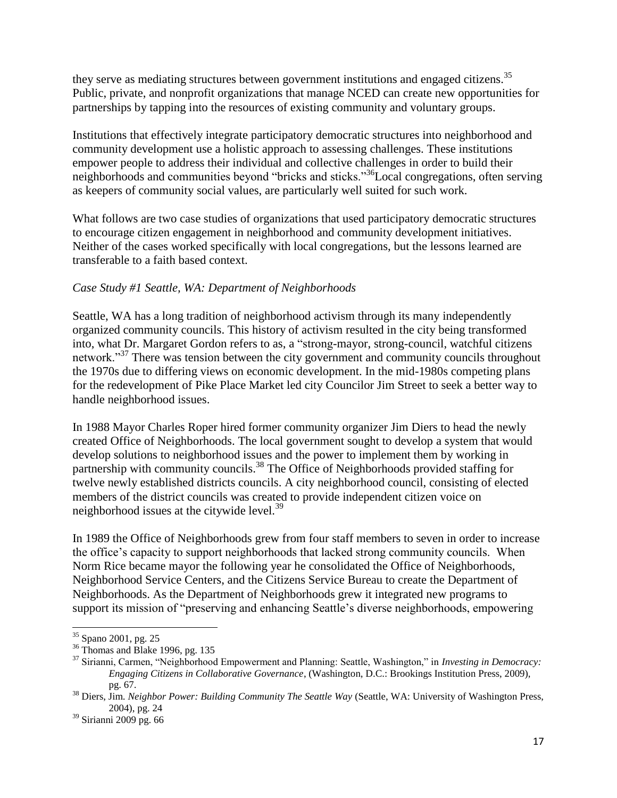they serve as mediating structures between government institutions and engaged citizens.<sup>35</sup> Public, private, and nonprofit organizations that manage NCED can create new opportunities for partnerships by tapping into the resources of existing community and voluntary groups.

Institutions that effectively integrate participatory democratic structures into neighborhood and community development use a holistic approach to assessing challenges. These institutions empower people to address their individual and collective challenges in order to build their neighborhoods and communities beyond "bricks and sticks."<sup>36</sup>Local congregations, often serving as keepers of community social values, are particularly well suited for such work.

What follows are two case studies of organizations that used participatory democratic structures to encourage citizen engagement in neighborhood and community development initiatives. Neither of the cases worked specifically with local congregations, but the lessons learned are transferable to a faith based context.

# *Case Study #1 Seattle, WA: Department of Neighborhoods*

Seattle, WA has a long tradition of neighborhood activism through its many independently organized community councils. This history of activism resulted in the city being transformed into, what Dr. Margaret Gordon refers to as, a "strong-mayor, strong-council, watchful citizens network."<sup>37</sup> There was tension between the city government and community councils throughout the 1970s due to differing views on economic development. In the mid-1980s competing plans for the redevelopment of Pike Place Market led city Councilor Jim Street to seek a better way to handle neighborhood issues.

In 1988 Mayor Charles Roper hired former community organizer Jim Diers to head the newly created Office of Neighborhoods. The local government sought to develop a system that would develop solutions to neighborhood issues and the power to implement them by working in partnership with community councils.<sup>38</sup> The Office of Neighborhoods provided staffing for twelve newly established districts councils. A city neighborhood council, consisting of elected members of the district councils was created to provide independent citizen voice on neighborhood issues at the citywide level. $39$ 

In 1989 the Office of Neighborhoods grew from four staff members to seven in order to increase the office's capacity to support neighborhoods that lacked strong community councils. When Norm Rice became mayor the following year he consolidated the Office of Neighborhoods, Neighborhood Service Centers, and the Citizens Service Bureau to create the Department of Neighborhoods. As the Department of Neighborhoods grew it integrated new programs to support its mission of "preserving and enhancing Seattle's diverse neighborhoods, empowering

 $\overline{a}$ <sup>35</sup> Spano 2001, pg. 25

<sup>&</sup>lt;sup>36</sup> Thomas and Blake 1996, pg. 135

<sup>37</sup> Sirianni, Carmen, "Neighborhood Empowerment and Planning: Seattle, Washington," in *Investing in Democracy: Engaging Citizens in Collaborative Governance*, (Washington, D.C.: Brookings Institution Press, 2009), pg. 67.

<sup>38</sup> Diers, Jim. *Neighbor Power: Building Community The Seattle Way* (Seattle, WA: University of Washington Press, 2004), pg. 24

 $39$  Sirianni 2009 pg. 66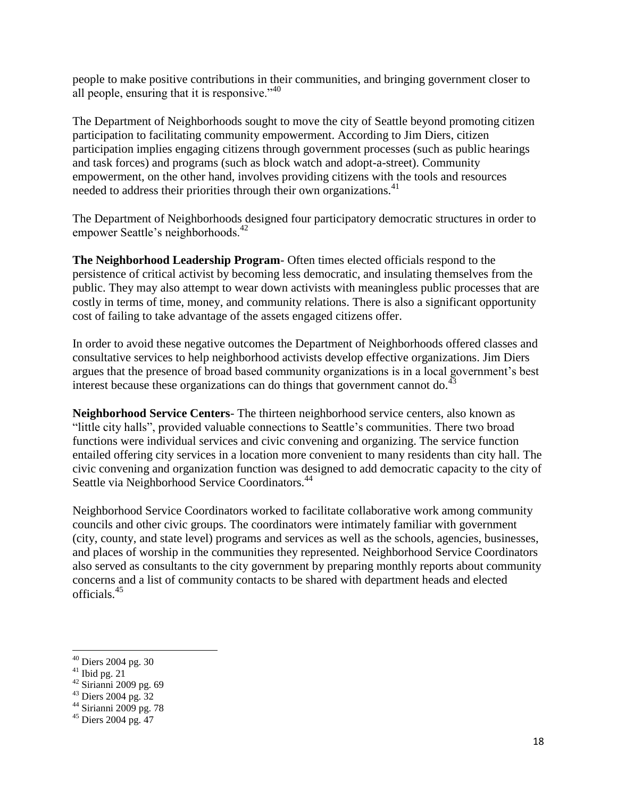people to make positive contributions in their communities, and bringing government closer to all people, ensuring that it is responsive."<sup>40</sup>

The Department of Neighborhoods sought to move the city of Seattle beyond promoting citizen participation to facilitating community empowerment. According to Jim Diers, citizen participation implies engaging citizens through government processes (such as public hearings and task forces) and programs (such as block watch and adopt-a-street). Community empowerment, on the other hand, involves providing citizens with the tools and resources needed to address their priorities through their own organizations.<sup>41</sup>

The Department of Neighborhoods designed four participatory democratic structures in order to empower Seattle's neighborhoods.<sup>42</sup>

**The Neighborhood Leadership Program**- Often times elected officials respond to the persistence of critical activist by becoming less democratic, and insulating themselves from the public. They may also attempt to wear down activists with meaningless public processes that are costly in terms of time, money, and community relations. There is also a significant opportunity cost of failing to take advantage of the assets engaged citizens offer.

In order to avoid these negative outcomes the Department of Neighborhoods offered classes and consultative services to help neighborhood activists develop effective organizations. Jim Diers argues that the presence of broad based community organizations is in a local government's best interest because these organizations can do things that government cannot do.<sup>43</sup>

**Neighborhood Service Centers**- The thirteen neighborhood service centers, also known as "little city halls", provided valuable connections to Seattle's communities. There two broad functions were individual services and civic convening and organizing. The service function entailed offering city services in a location more convenient to many residents than city hall. The civic convening and organization function was designed to add democratic capacity to the city of Seattle via Neighborhood Service Coordinators.<sup>44</sup>

Neighborhood Service Coordinators worked to facilitate collaborative work among community councils and other civic groups. The coordinators were intimately familiar with government (city, county, and state level) programs and services as well as the schools, agencies, businesses, and places of worship in the communities they represented. Neighborhood Service Coordinators also served as consultants to the city government by preparing monthly reports about community concerns and a list of community contacts to be shared with department heads and elected officials.<sup>45</sup>

 $41$  Ibid pg. 21

l

- $42$  Sirianni 2009 pg. 69
- $43$  Diers 2004 pg. 32
- $44$  Sirianni 2009 pg. 78

<sup>&</sup>lt;sup>40</sup> Diers 2004 pg. 30

 $45$  Diers 2004 pg. 47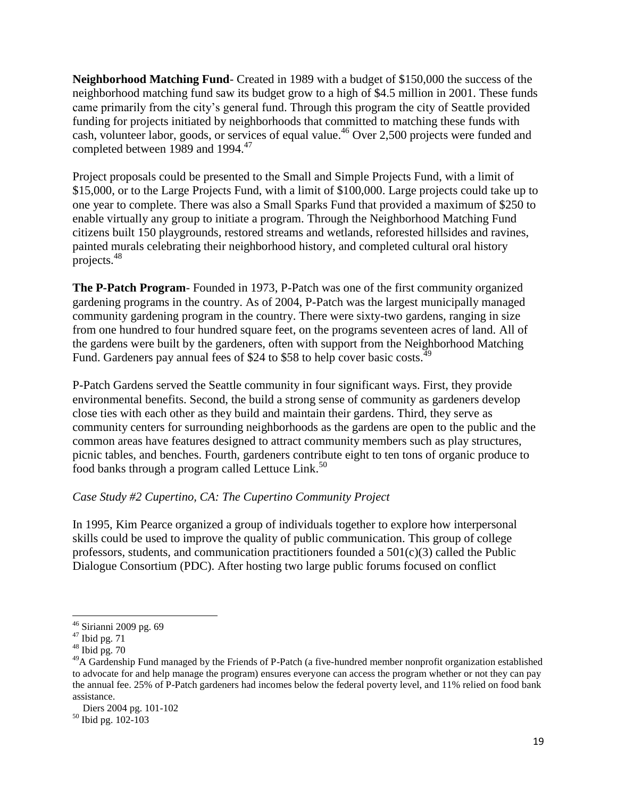**Neighborhood Matching Fund**- Created in 1989 with a budget of \$150,000 the success of the neighborhood matching fund saw its budget grow to a high of \$4.5 million in 2001. These funds came primarily from the city's general fund. Through this program the city of Seattle provided funding for projects initiated by neighborhoods that committed to matching these funds with cash, volunteer labor, goods, or services of equal value.<sup>46</sup> Over 2,500 projects were funded and completed between 1989 and 1994.<sup>47</sup>

Project proposals could be presented to the Small and Simple Projects Fund, with a limit of \$15,000, or to the Large Projects Fund, with a limit of \$100,000. Large projects could take up to one year to complete. There was also a Small Sparks Fund that provided a maximum of \$250 to enable virtually any group to initiate a program. Through the Neighborhood Matching Fund citizens built 150 playgrounds, restored streams and wetlands, reforested hillsides and ravines, painted murals celebrating their neighborhood history, and completed cultural oral history projects.<sup>48</sup>

**The P-Patch Program**- Founded in 1973, P-Patch was one of the first community organized gardening programs in the country. As of 2004, P-Patch was the largest municipally managed community gardening program in the country. There were sixty-two gardens, ranging in size from one hundred to four hundred square feet, on the programs seventeen acres of land. All of the gardens were built by the gardeners, often with support from the Neighborhood Matching Fund. Gardeners pay annual fees of \$24 to \$58 to help cover basic costs.<sup>49</sup>

P-Patch Gardens served the Seattle community in four significant ways. First, they provide environmental benefits. Second, the build a strong sense of community as gardeners develop close ties with each other as they build and maintain their gardens. Third, they serve as community centers for surrounding neighborhoods as the gardens are open to the public and the common areas have features designed to attract community members such as play structures, picnic tables, and benches. Fourth, gardeners contribute eight to ten tons of organic produce to food banks through a program called Lettuce Link.<sup>50</sup>

# *Case Study #2 Cupertino, CA: The Cupertino Community Project*

In 1995, Kim Pearce organized a group of individuals together to explore how interpersonal skills could be used to improve the quality of public communication. This group of college professors, students, and communication practitioners founded a  $501(c)(3)$  called the Public Dialogue Consortium (PDC). After hosting two large public forums focused on conflict

 $\overline{\phantom{a}}$ <sup>46</sup> Sirianni 2009 pg. 69

 $47$  Ibid pg. 71

 $48$  Ibid pg. 70

 $^{49}$ A Gardenship Fund managed by the Friends of P-Patch (a five-hundred member nonprofit organization established to advocate for and help manage the program) ensures everyone can access the program whether or not they can pay the annual fee. 25% of P-Patch gardeners had incomes below the federal poverty level, and 11% relied on food bank assistance.

Diers 2004 pg. 101-102

<sup>50</sup> Ibid pg. 102-103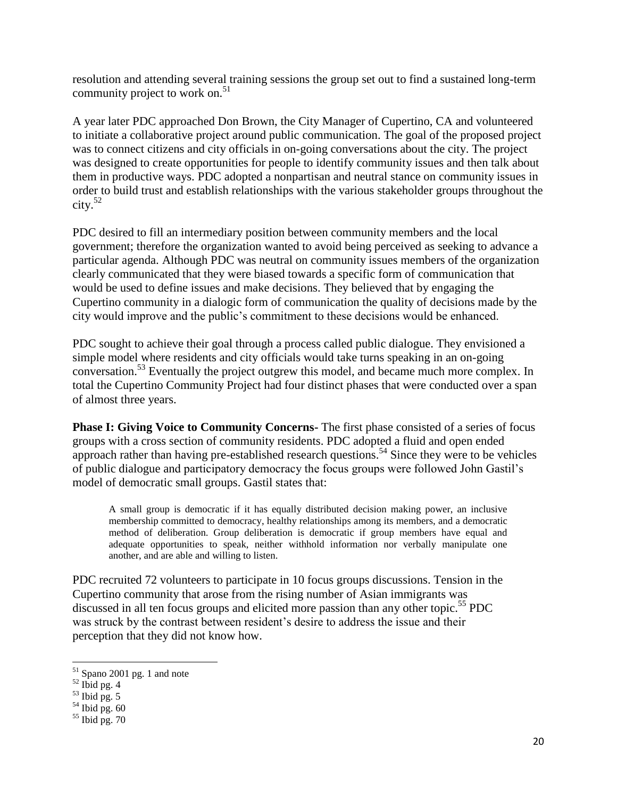resolution and attending several training sessions the group set out to find a sustained long-term community project to work on. $51$ 

A year later PDC approached Don Brown, the City Manager of Cupertino, CA and volunteered to initiate a collaborative project around public communication. The goal of the proposed project was to connect citizens and city officials in on-going conversations about the city. The project was designed to create opportunities for people to identify community issues and then talk about them in productive ways. PDC adopted a nonpartisan and neutral stance on community issues in order to build trust and establish relationships with the various stakeholder groups throughout the  $\text{city.}^{52}$ 

PDC desired to fill an intermediary position between community members and the local government; therefore the organization wanted to avoid being perceived as seeking to advance a particular agenda. Although PDC was neutral on community issues members of the organization clearly communicated that they were biased towards a specific form of communication that would be used to define issues and make decisions. They believed that by engaging the Cupertino community in a dialogic form of communication the quality of decisions made by the city would improve and the public's commitment to these decisions would be enhanced.

PDC sought to achieve their goal through a process called public dialogue. They envisioned a simple model where residents and city officials would take turns speaking in an on-going conversation.<sup>53</sup> Eventually the project outgrew this model, and became much more complex. In total the Cupertino Community Project had four distinct phases that were conducted over a span of almost three years.

**Phase I: Giving Voice to Community Concerns-** The first phase consisted of a series of focus groups with a cross section of community residents. PDC adopted a fluid and open ended approach rather than having pre-established research questions.<sup>54</sup> Since they were to be vehicles of public dialogue and participatory democracy the focus groups were followed John Gastil's model of democratic small groups. Gastil states that:

A small group is democratic if it has equally distributed decision making power, an inclusive membership committed to democracy, healthy relationships among its members, and a democratic method of deliberation. Group deliberation is democratic if group members have equal and adequate opportunities to speak, neither withhold information nor verbally manipulate one another, and are able and willing to listen.

PDC recruited 72 volunteers to participate in 10 focus groups discussions. Tension in the Cupertino community that arose from the rising number of Asian immigrants was discussed in all ten focus groups and elicited more passion than any other topic.<sup>55</sup> PDC was struck by the contrast between resident's desire to address the issue and their perception that they did not know how.

 $\overline{a}$ 

 $51$  Spano 2001 pg. 1 and note

 $52$  Ibid pg. 4

 $53$  Ibid pg. 5

 $54$  Ibid pg. 60

 $55$  Ibid pg. 70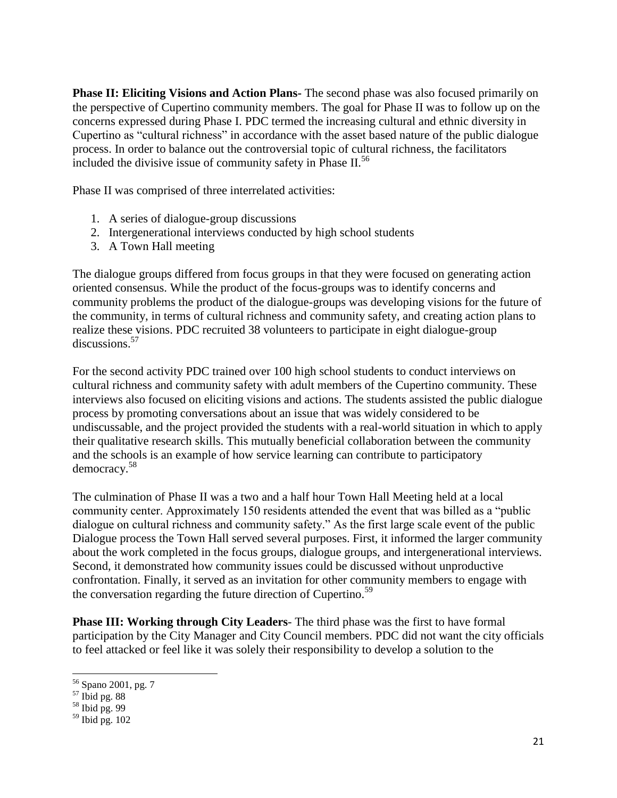**Phase II: Eliciting Visions and Action Plans-** The second phase was also focused primarily on the perspective of Cupertino community members. The goal for Phase II was to follow up on the concerns expressed during Phase I. PDC termed the increasing cultural and ethnic diversity in Cupertino as "cultural richness" in accordance with the asset based nature of the public dialogue process. In order to balance out the controversial topic of cultural richness, the facilitators included the divisive issue of community safety in Phase II.<sup>56</sup>

Phase II was comprised of three interrelated activities:

- 1. A series of dialogue-group discussions
- 2. Intergenerational interviews conducted by high school students
- 3. A Town Hall meeting

The dialogue groups differed from focus groups in that they were focused on generating action oriented consensus. While the product of the focus-groups was to identify concerns and community problems the product of the dialogue-groups was developing visions for the future of the community, in terms of cultural richness and community safety, and creating action plans to realize these visions. PDC recruited 38 volunteers to participate in eight dialogue-group discussions.<sup>57</sup>

For the second activity PDC trained over 100 high school students to conduct interviews on cultural richness and community safety with adult members of the Cupertino community. These interviews also focused on eliciting visions and actions. The students assisted the public dialogue process by promoting conversations about an issue that was widely considered to be undiscussable, and the project provided the students with a real-world situation in which to apply their qualitative research skills. This mutually beneficial collaboration between the community and the schools is an example of how service learning can contribute to participatory democracy.<sup>58</sup>

The culmination of Phase II was a two and a half hour Town Hall Meeting held at a local community center. Approximately 150 residents attended the event that was billed as a "public dialogue on cultural richness and community safety." As the first large scale event of the public Dialogue process the Town Hall served several purposes. First, it informed the larger community about the work completed in the focus groups, dialogue groups, and intergenerational interviews. Second, it demonstrated how community issues could be discussed without unproductive confrontation. Finally, it served as an invitation for other community members to engage with the conversation regarding the future direction of Cupertino.<sup>59</sup>

**Phase III: Working through City Leaders**- The third phase was the first to have formal participation by the City Manager and City Council members. PDC did not want the city officials to feel attacked or feel like it was solely their responsibility to develop a solution to the

<sup>56</sup> Spano 2001, pg. 7

 $57$  Ibid pg. 88

 $58$  Ibid pg. 99

 $59$  Ibid pg. 102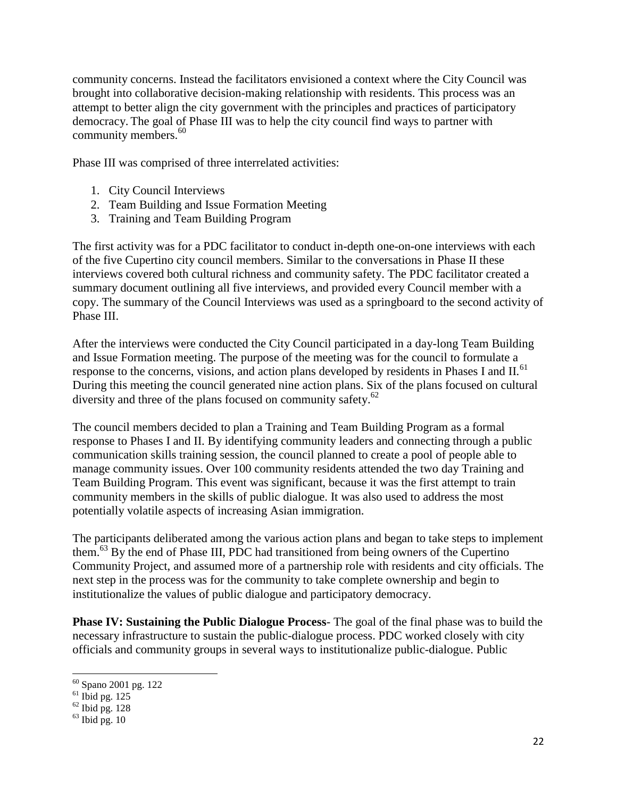community concerns. Instead the facilitators envisioned a context where the City Council was brought into collaborative decision-making relationship with residents. This process was an attempt to better align the city government with the principles and practices of participatory democracy. The goal of Phase III was to help the city council find ways to partner with community members. $60$ 

Phase III was comprised of three interrelated activities:

- 1. City Council Interviews
- 2. Team Building and Issue Formation Meeting
- 3. Training and Team Building Program

The first activity was for a PDC facilitator to conduct in-depth one-on-one interviews with each of the five Cupertino city council members. Similar to the conversations in Phase II these interviews covered both cultural richness and community safety. The PDC facilitator created a summary document outlining all five interviews, and provided every Council member with a copy. The summary of the Council Interviews was used as a springboard to the second activity of Phase III.

After the interviews were conducted the City Council participated in a day-long Team Building and Issue Formation meeting. The purpose of the meeting was for the council to formulate a response to the concerns, visions, and action plans developed by residents in Phases I and II.<sup>61</sup> During this meeting the council generated nine action plans. Six of the plans focused on cultural diversity and three of the plans focused on community safety.<sup>62</sup>

The council members decided to plan a Training and Team Building Program as a formal response to Phases I and II. By identifying community leaders and connecting through a public communication skills training session, the council planned to create a pool of people able to manage community issues. Over 100 community residents attended the two day Training and Team Building Program. This event was significant, because it was the first attempt to train community members in the skills of public dialogue. It was also used to address the most potentially volatile aspects of increasing Asian immigration.

The participants deliberated among the various action plans and began to take steps to implement them.<sup>63</sup> By the end of Phase III, PDC had transitioned from being owners of the Cupertino Community Project, and assumed more of a partnership role with residents and city officials. The next step in the process was for the community to take complete ownership and begin to institutionalize the values of public dialogue and participatory democracy.

**Phase IV: Sustaining the Public Dialogue Process**- The goal of the final phase was to build the necessary infrastructure to sustain the public-dialogue process. PDC worked closely with city officials and community groups in several ways to institutionalize public-dialogue. Public

<sup>60</sup> Spano 2001 pg. 122

 $61$  Ibid pg. 125

 $62$  Ibid pg. 128

 $63$  Ibid pg. 10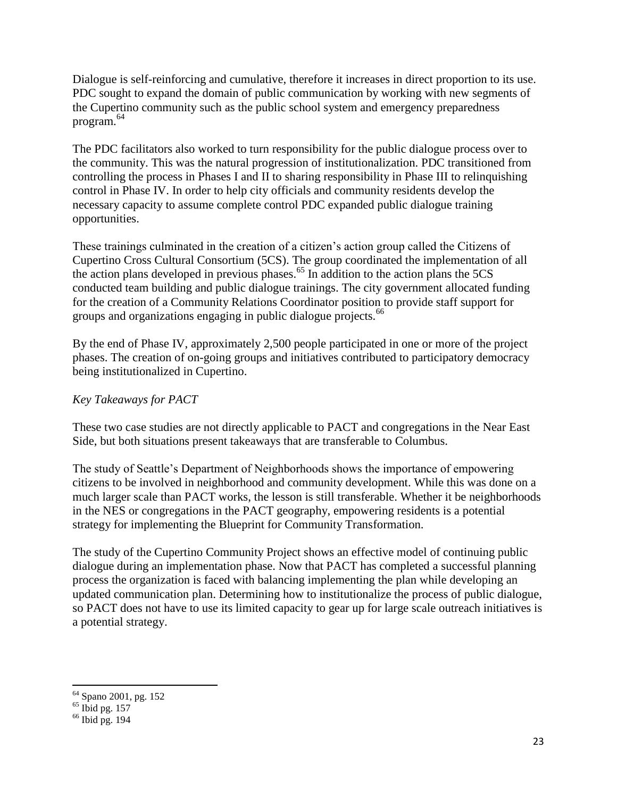Dialogue is self-reinforcing and cumulative, therefore it increases in direct proportion to its use. PDC sought to expand the domain of public communication by working with new segments of the Cupertino community such as the public school system and emergency preparedness program.<sup>64</sup>

The PDC facilitators also worked to turn responsibility for the public dialogue process over to the community. This was the natural progression of institutionalization. PDC transitioned from controlling the process in Phases I and II to sharing responsibility in Phase III to relinquishing control in Phase IV. In order to help city officials and community residents develop the necessary capacity to assume complete control PDC expanded public dialogue training opportunities.

These trainings culminated in the creation of a citizen's action group called the Citizens of Cupertino Cross Cultural Consortium (5CS). The group coordinated the implementation of all the action plans developed in previous phases.<sup>65</sup> In addition to the action plans the  $5CS$ conducted team building and public dialogue trainings. The city government allocated funding for the creation of a Community Relations Coordinator position to provide staff support for groups and organizations engaging in public dialogue projects.<sup>66</sup>

By the end of Phase IV, approximately 2,500 people participated in one or more of the project phases. The creation of on-going groups and initiatives contributed to participatory democracy being institutionalized in Cupertino.

# *Key Takeaways for PACT*

These two case studies are not directly applicable to PACT and congregations in the Near East Side, but both situations present takeaways that are transferable to Columbus.

The study of Seattle's Department of Neighborhoods shows the importance of empowering citizens to be involved in neighborhood and community development. While this was done on a much larger scale than PACT works, the lesson is still transferable. Whether it be neighborhoods in the NES or congregations in the PACT geography, empowering residents is a potential strategy for implementing the Blueprint for Community Transformation.

The study of the Cupertino Community Project shows an effective model of continuing public dialogue during an implementation phase. Now that PACT has completed a successful planning process the organization is faced with balancing implementing the plan while developing an updated communication plan. Determining how to institutionalize the process of public dialogue, so PACT does not have to use its limited capacity to gear up for large scale outreach initiatives is a potential strategy.

<sup>&</sup>lt;sup>64</sup> Spano 2001, pg. 152

 $65$  Ibid pg. 157

<sup>66</sup> Ibid pg. 194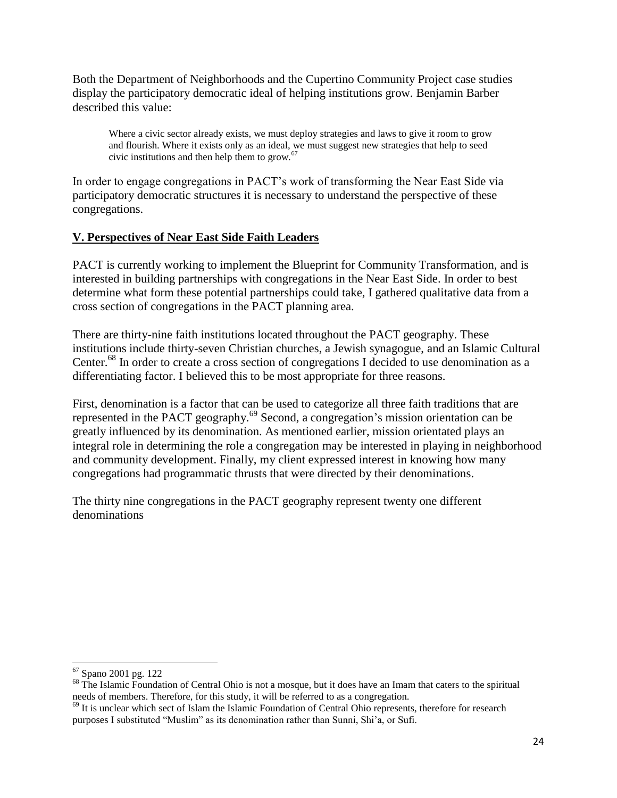Both the Department of Neighborhoods and the Cupertino Community Project case studies display the participatory democratic ideal of helping institutions grow. Benjamin Barber described this value:

Where a civic sector already exists, we must deploy strategies and laws to give it room to grow and flourish. Where it exists only as an ideal, we must suggest new strategies that help to seed civic institutions and then help them to grow. $67$ 

In order to engage congregations in PACT's work of transforming the Near East Side via participatory democratic structures it is necessary to understand the perspective of these congregations.

# **V. Perspectives of Near East Side Faith Leaders**

PACT is currently working to implement the Blueprint for Community Transformation, and is interested in building partnerships with congregations in the Near East Side. In order to best determine what form these potential partnerships could take, I gathered qualitative data from a cross section of congregations in the PACT planning area.

There are thirty-nine faith institutions located throughout the PACT geography. These institutions include thirty-seven Christian churches, a Jewish synagogue, and an Islamic Cultural Center.<sup>68</sup> In order to create a cross section of congregations I decided to use denomination as a differentiating factor. I believed this to be most appropriate for three reasons.

First, denomination is a factor that can be used to categorize all three faith traditions that are represented in the PACT geography.<sup>69</sup> Second, a congregation's mission orientation can be greatly influenced by its denomination. As mentioned earlier, mission orientated plays an integral role in determining the role a congregation may be interested in playing in neighborhood and community development. Finally, my client expressed interest in knowing how many congregations had programmatic thrusts that were directed by their denominations.

The thirty nine congregations in the PACT geography represent twenty one different denominations

 $\overline{a}$ <sup>67</sup> Spano 2001 pg. 122

<sup>&</sup>lt;sup>68</sup> The Islamic Foundation of Central Ohio is not a mosque, but it does have an Imam that caters to the spiritual needs of members. Therefore, for this study, it will be referred to as a congregation.

<sup>&</sup>lt;sup>69</sup> It is unclear which sect of Islam the Islamic Foundation of Central Ohio represents, therefore for research purposes I substituted "Muslim" as its denomination rather than Sunni, Shi'a, or Sufi.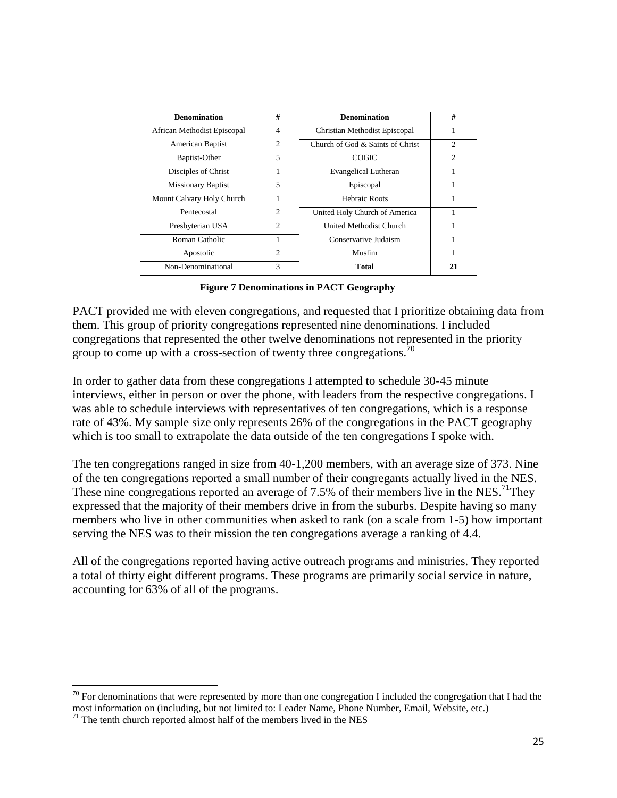| <b>Denomination</b>         | #                           | <b>Denomination</b>              | #                           |
|-----------------------------|-----------------------------|----------------------------------|-----------------------------|
| African Methodist Episcopal | $\overline{4}$              | Christian Methodist Episcopal    |                             |
| American Baptist            | $\mathcal{D}_{\mathcal{L}}$ | Church of God & Saints of Christ | $\mathfrak{D}$              |
| Baptist-Other               | 5                           | COGIC                            | $\mathcal{D}_{\mathcal{L}}$ |
| Disciples of Christ         |                             | Evangelical Lutheran             |                             |
| <b>Missionary Baptist</b>   | 5                           | Episcopal                        |                             |
| Mount Calvary Holy Church   |                             | Hebraic Roots                    |                             |
| Pentecostal                 | 2                           | United Holy Church of America    |                             |
| Presbyterian USA            | $\mathcal{D}_{\mathcal{L}}$ | United Methodist Church          |                             |
| Roman Catholic              |                             | Conservative Judaism             |                             |
| Apostolic                   | $\mathcal{D}_{\mathcal{L}}$ | Muslim                           |                             |
| Non-Denominational          | 3                           | Total                            | 21                          |

**Figure 7 Denominations in PACT Geography**

PACT provided me with eleven congregations, and requested that I prioritize obtaining data from them. This group of priority congregations represented nine denominations. I included congregations that represented the other twelve denominations not represented in the priority group to come up with a cross-section of twenty three congregations.<sup>70</sup>

In order to gather data from these congregations I attempted to schedule 30-45 minute interviews, either in person or over the phone, with leaders from the respective congregations. I was able to schedule interviews with representatives of ten congregations, which is a response rate of 43%. My sample size only represents 26% of the congregations in the PACT geography which is too small to extrapolate the data outside of the ten congregations I spoke with.

The ten congregations ranged in size from 40-1,200 members, with an average size of 373. Nine of the ten congregations reported a small number of their congregants actually lived in the NES. These nine congregations reported an average of 7.5% of their members live in the NES.<sup>71</sup>Thev expressed that the majority of their members drive in from the suburbs. Despite having so many members who live in other communities when asked to rank (on a scale from 1-5) how important serving the NES was to their mission the ten congregations average a ranking of 4.4.

All of the congregations reported having active outreach programs and ministries. They reported a total of thirty eight different programs. These programs are primarily social service in nature, accounting for 63% of all of the programs.

 $70$  For denominations that were represented by more than one congregation I included the congregation that I had the most information on (including, but not limited to: Leader Name, Phone Number, Email, Website, etc.)

 $71$  The tenth church reported almost half of the members lived in the NES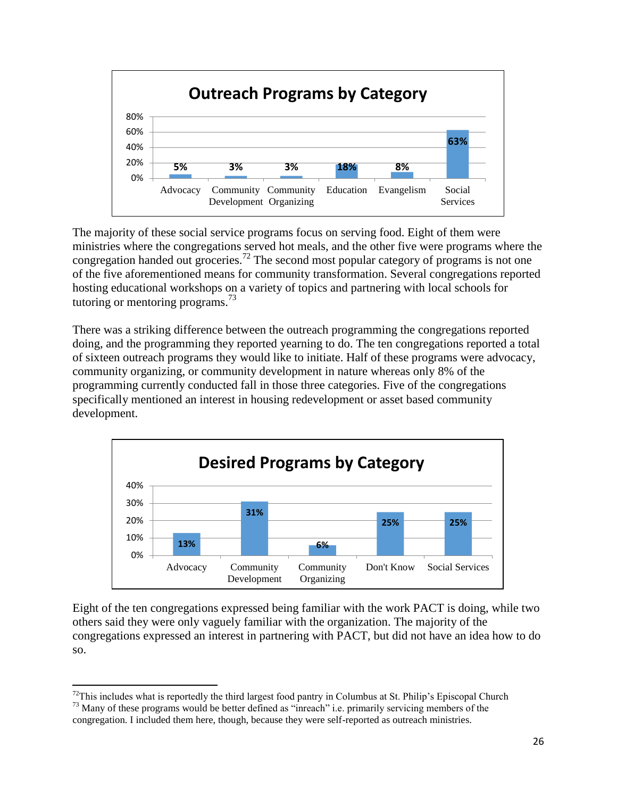

The majority of these social service programs focus on serving food. Eight of them were ministries where the congregations served hot meals, and the other five were programs where the congregation handed out groceries.<sup>72</sup> The second most popular category of programs is not one of the five aforementioned means for community transformation. Several congregations reported hosting educational workshops on a variety of topics and partnering with local schools for tutoring or mentoring programs.<sup>73</sup>

There was a striking difference between the outreach programming the congregations reported doing, and the programming they reported yearning to do. The ten congregations reported a total of sixteen outreach programs they would like to initiate. Half of these programs were advocacy, community organizing, or community development in nature whereas only 8% of the programming currently conducted fall in those three categories. Five of the congregations specifically mentioned an interest in housing redevelopment or asset based community development.



Eight of the ten congregations expressed being familiar with the work PACT is doing, while two others said they were only vaguely familiar with the organization. The majority of the congregations expressed an interest in partnering with PACT, but did not have an idea how to do so.

 $\overline{\phantom{a}}$  $72$ This includes what is reportedly the third largest food pantry in Columbus at St. Philip's Episcopal Church

<sup>&</sup>lt;sup>73</sup> Many of these programs would be better defined as "inreach" i.e. primarily servicing members of the congregation. I included them here, though, because they were self-reported as outreach ministries.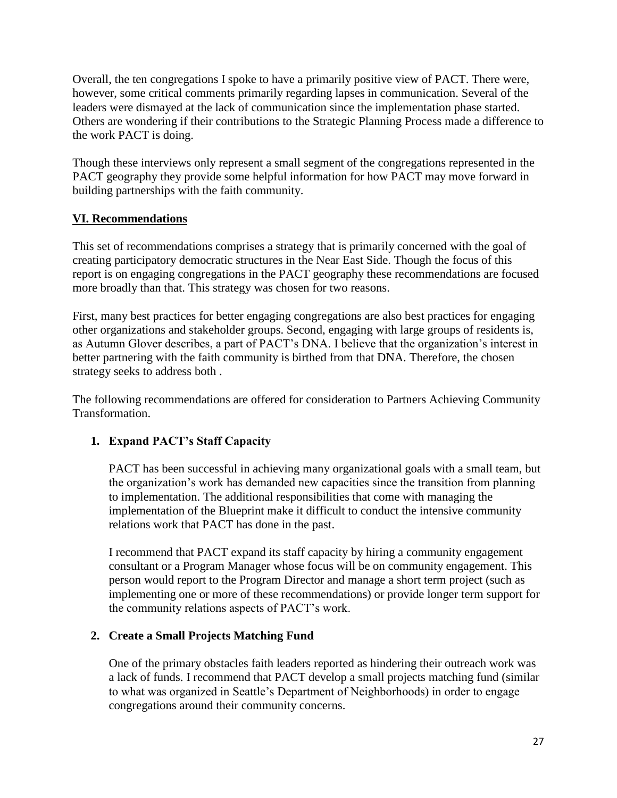Overall, the ten congregations I spoke to have a primarily positive view of PACT. There were, however, some critical comments primarily regarding lapses in communication. Several of the leaders were dismayed at the lack of communication since the implementation phase started. Others are wondering if their contributions to the Strategic Planning Process made a difference to the work PACT is doing.

Though these interviews only represent a small segment of the congregations represented in the PACT geography they provide some helpful information for how PACT may move forward in building partnerships with the faith community.

# **VI. Recommendations**

This set of recommendations comprises a strategy that is primarily concerned with the goal of creating participatory democratic structures in the Near East Side. Though the focus of this report is on engaging congregations in the PACT geography these recommendations are focused more broadly than that. This strategy was chosen for two reasons.

First, many best practices for better engaging congregations are also best practices for engaging other organizations and stakeholder groups. Second, engaging with large groups of residents is, as Autumn Glover describes, a part of PACT's DNA. I believe that the organization's interest in better partnering with the faith community is birthed from that DNA. Therefore, the chosen strategy seeks to address both .

The following recommendations are offered for consideration to Partners Achieving Community Transformation.

# **1. Expand PACT's Staff Capacity**

PACT has been successful in achieving many organizational goals with a small team, but the organization's work has demanded new capacities since the transition from planning to implementation. The additional responsibilities that come with managing the implementation of the Blueprint make it difficult to conduct the intensive community relations work that PACT has done in the past.

I recommend that PACT expand its staff capacity by hiring a community engagement consultant or a Program Manager whose focus will be on community engagement. This person would report to the Program Director and manage a short term project (such as implementing one or more of these recommendations) or provide longer term support for the community relations aspects of PACT's work.

# **2. Create a Small Projects Matching Fund**

One of the primary obstacles faith leaders reported as hindering their outreach work was a lack of funds. I recommend that PACT develop a small projects matching fund (similar to what was organized in Seattle's Department of Neighborhoods) in order to engage congregations around their community concerns.